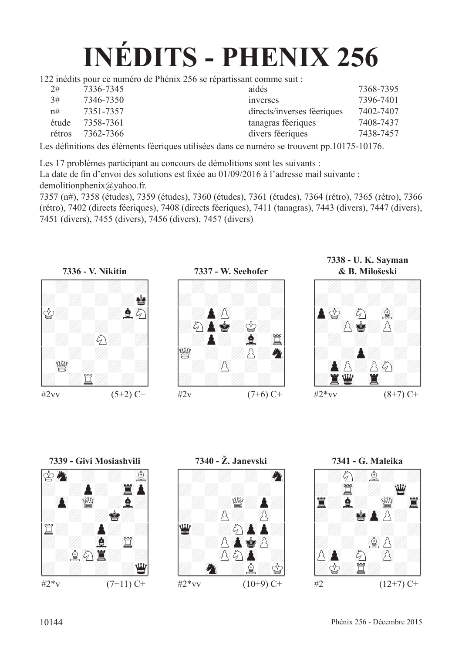# **INÉDITS - PHENIX 256**

122 inédits pour ce numéro de Phénix 256 se répartissant comme suit :

| 2#     | 7336-7345 | aidés                      | 7368-7395 |  |
|--------|-----------|----------------------------|-----------|--|
| 3#     | 7346-7350 | <i>inverses</i>            | 7396-7401 |  |
| n#     | 7351-7357 | directs/inverses féeriques | 7402-7407 |  |
| étude  | 7358-7361 | tanagras féeriques         | 7408-7437 |  |
| rétros | 7362-7366 | divers féeriques           | 7438-7457 |  |
|        |           |                            |           |  |

Les défnitions des éléments féeriques utilisées dans ce numéro se trouvent pp.10175-10176.

Les 17 problèmes participant au concours de démolitions sont les suivants :

La date de fin d'envoi des solutions est fixée au 01/09/2016 à l'adresse mail suivante : demolitionphenix@yahoo.fr.

7357 (n#), 7358 (études), 7359 (études), 7360 (études), 7361 (études), 7364 (rétro), 7365 (rétro), 7366 (rétro), 7402 (directs féeriques), 7408 (directs féeriques), 7411 (tanagras), 7443 (divers), 7447 (divers), 7451 (divers), 7455 (divers), 7456 (divers), 7457 (divers)





**7338 - U. K. Sayman**



**7339 - Givi Mosiashvili<br>
4 FM 230 : 1990 : 1990 : 1990 : 1990 : 1990 : 1990 : 1990 : 1990 : 1990 : 1990 : 1990 : 1990 : 1990 : 1990 : 1990 : 1990 : 1990 : 1990 : 1990 : 1990 : 1990 : 1990 : 1990 : 1990 : 1990 : 1990 : 199** 



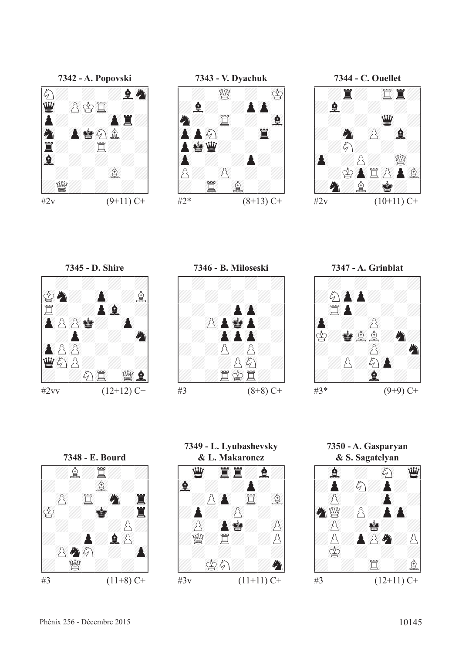

**7343 - V. Dyachuk** !--------! / : 23de : 01r/ /:F: :P()P / /C: 45t : 67F/ /()PP89c : 45T / /P01RD: : :/ /()P : :P: / /p: ()p : :/ /: 45t 67f : /







 $#2^*$   $(8+13)$  C+









**& L. Makaronez<br> \begin{array}{cccccccccccccc} \mathbf{\underline{w}} & \mathbf{\underline{z}} & \mathbf{\underline{z}} & \mathbf{\underline{z}} & \mathbf{\underline{z}} & \mathbf{\underline{z}} & \mathbf{\underline{z}} & \mathbf{\underline{z}} & \mathbf{\underline{z}} & \mathbf{\underline{z}} & \mathbf{\underline{z}} & \mathbf{\underline{z}} & \mathbf{\underline{z}} & \mathbf{\underline{z}} & \mathbf{\underline{z}} & \mathbf{\underline{z}} & \mathbf{\underline{z}} & \mathbf{\underline{z}} & \mathbf{\underline{z}} & \mathbf{\underline{z}} & \mathbf{\underline{z}} & \mathbf{\underline** 

**7349 - L. Lyubashevsky**

**7350 - A. Gasparyan**

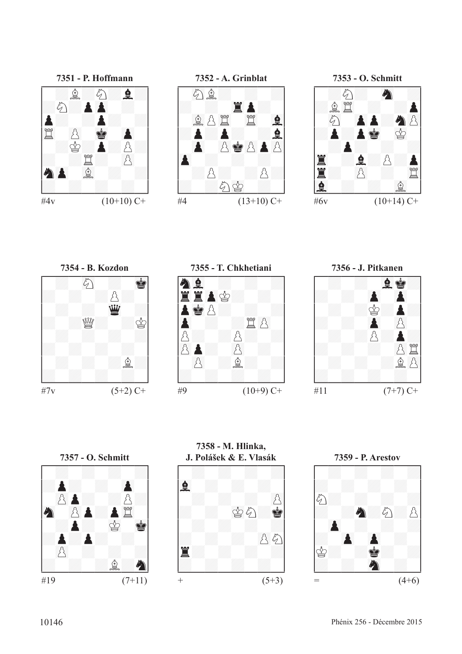

**7351 - P. Hoffmann** !--------! / :f:c:F:/ /:c:P()P : / /P: :P: :/ /45t ()p 01R ()P / / :r:P:p:/ /: :t: ()p / /C()P 67f : :/ /: : : : /

 $\#4v$  (10+10) C+

 $#7v$  (5+2) C+ **7355 - T. Chkhetiani** !--------! /C67F : : :/ /45TT()Pr: : / /P01Rp: : :/ /()P : :t()p / /p: :p: :/ /()pP: ()p : / / ()p :f: :/ /: : : : / \$\_\_\_\_\_\_\_\_\$  $#9$  (10+9) C+ **7357 - O. Schmitt** !--------! / : : : :/ /:P: : ()P / / ()pP: :p:/ /89C ()pP:P45t / / :P: 01r 01R/ /:P:P: : / / ()p : : :/ /: : :f:C/ \$\_\_\_\_\_\_\_\_\$ #19 (7+11) **7358 - M. Hlinka,**



**7352 - A. Grinblat** !--------! / 89cf: : :/ /: : 45TP: / / 67fp45t 45t 67F/ /:P:P: :F/ / ()P ()pR()pP()p/ /()P : : : / / :p: :p:/ /: :c01r : / #4  $(13+10)$  C+

**7353 - O. Schmitt** !--------! / :c: 89C :/ /:f45t : :P/ / 89c ()PP:C()p/ /:P:P01R 01r / / :P: : :/ /45T :F:p:P/ /T: ()p : 45t/ /67F : : 67f /

#6v  $(10+14)$  C+





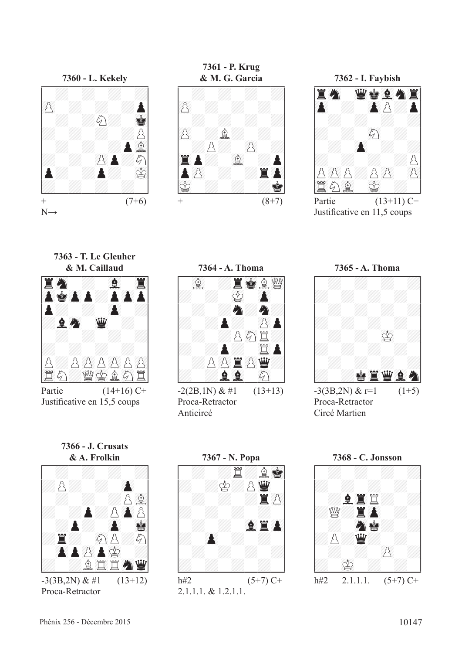

**7361 - P. Krug & M. G. Garcia** !--------! / : : : :/ /()p : : : / / : : : :/ /()p :f: : / / :p: ()p :/ /45TP: 67f :P/ /P()p : :T()P/ /01r : : :R/  $+$   $(8+7)$ 

**7362 - I. Faybish** !--------! /T89C 23DR67FC45T/ /()P : ()Pp:P/ / : : : :/ /: : 89c : / / : ()P : :/ /: : : :p/ /p()pp:p()p ()p/ /45tc67f 01r : /

Partie  $(13+11)$  C+ Justifcative en 11,5 coups

**7363 - T. Le Gleuher**



Partie  $(14+16)$  C+ Justifcative en 15,5 coups



 $-2(2B,1N) \& \#1$  (13+13) Proca-Retractor Anticircé



**7366 - J. Crusats**



Proca-Retractor



2.1.1.1. & 1.2.1.1.

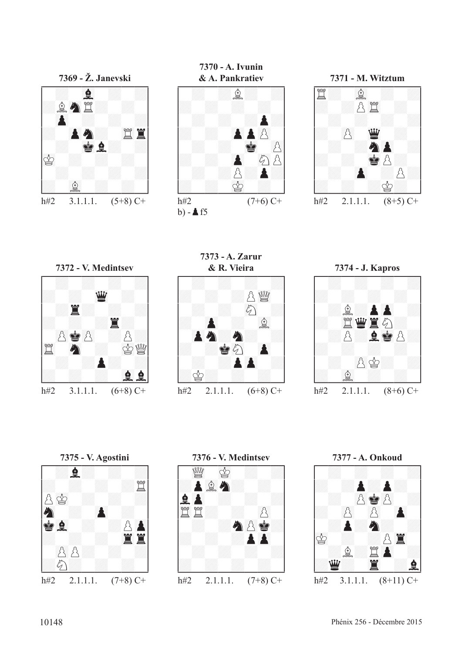

**7370 - A. Ivunin** 



**7371 - M. Witztum** !--------! /t: 67f : :/ /: :p45t : / / : : : :/ /: ()p 23D : / / : :C()P :/ /: : 01Rp: / / : ()P :p:/ /: : :r: / h#2 2.1.1.1.  $(8+5)$  C+



**7373 - A. Zarur** 







**7376 - V. Medintsev** !--------! / 23de 01r : :/ /:P67fC: : / /F()P : : :/ /45tt: : ()p / / : :C()pR:/ /: : :P()P / / : : : :/ /: : : : / \$\_\_\_\_\_\_\_\_\$ h#2 2.1.1.1. (7+8) C+

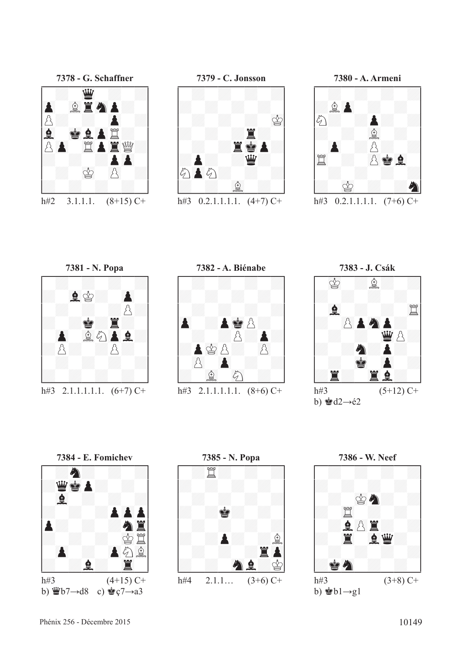

**7379 - C. Jonsson** !--------! / : : : :/ /: : : : / / : : : 01r/ /: : :T: / / : :T01RP:/ /:P: :D: / /c()Pc: : :/ /: : 67f : / h#3  $0.2.1.1.1.1$ .  $(4+7)$  C+



h#3  $0.2.1.1.1.1$ .  $(7+6)$  C+



h#3 2.1.1.1.1.1.  $(6+7)$  C+









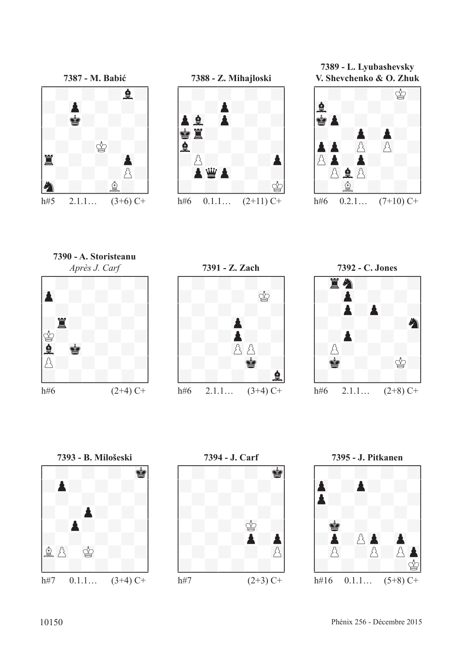



**7389 - L. Lyubashevsky V. Shevchenko & O. Zhuk**



**7390 - A. Storisteanu**









**7394 - J. Carf** !--------! / : : : 01R/ /: : : : / / : : : :/ /: : : : / / : : 01r :/ /: : :P:P/ / : : : ()p/ /: : : : / \$\_\_\_\_\_\_\_\_\$ h#7 (2+3) C+

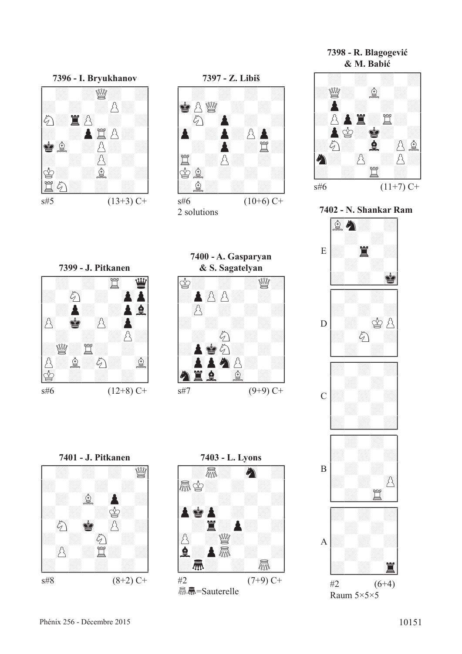| s#8 | $(8+2)$ C+ |
|-----|------------|

**7396 - I. Bryukhanov** !--------! / : :de: :/ /: : :p: / /c:T()p : :/ /: :P45tp: / /R67f :p: :/ /: : ()p : / /r: :f: :/ /45tc: : : / \$\_\_\_\_\_\_\_\_\$

 $s#5$  (13+3) C+

**7399 - J. Pitkanen** !--------! / : : 45t 23D/ /: 89c : ()PP/ / :P: :P67F/ /()p 01R ()p ()P / / : : :p:/ /:de:t: : / /p:f:c: 67f/ /01r : : : / \$\_\_\_\_\_\_\_\_\$

 $s\#6$  (12+8) C+



2 solutions

**7400 - A. Gasparyan**

**7403 - L. Lyons** !--------! / :TR: 89C :/ /oTRr: : : / / : : : :/ /()PR()P : : / / :T:P: :/ /()p :de: : / /F:PoTR : :/ /:4: : oTR / \$\_\_\_\_\_\_\_\_\$ #2 (7+9) C+

**显晶=Sauterelle** 





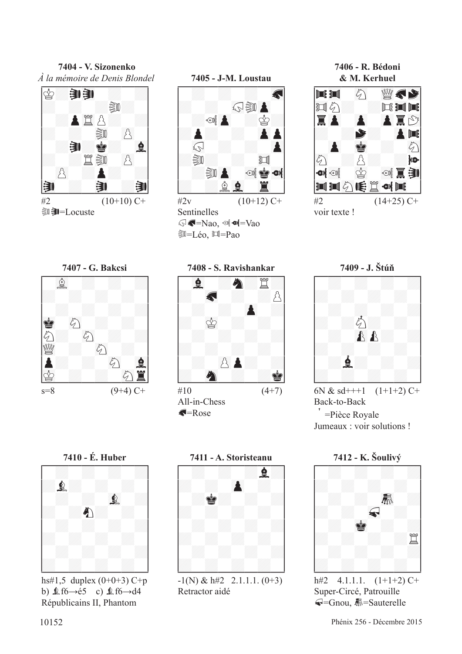**7404 - V. Sizonenko** *À la mémoire de Denis Blondel*





Sentinelles  $\mathbb{Q}$   $\blacksquare$   $\blacksquare$   $\blacksquare$   $\blacksquare$   $\blacksquare$   $\blacksquare$   $\blacksquare$   $\blacksquare$   $\blacksquare$   $\blacksquare$   $\blacksquare$   $\blacksquare$   $\blacksquare$   $\blacksquare$   $\blacksquare$   $\blacksquare$   $\blacksquare$   $\blacksquare$   $\blacksquare$   $\blacksquare$   $\blacksquare$   $\blacksquare$   $\blacksquare$   $\blacksquare$   $\blacksquare$   $\blacksquare$   $\blacksquare$   $\blacksquare$   $\blacksquare$   $\blacksquare$   $\$ **③=Léo**, 回=Pao

**7406 - R. Bédoni**







 $\triangle$ =Rose



6N &  $sd$ +++1  $(1+1+2)$  C+ Back-to-Back > =Pièce Royale Jumeaux : voir solutions !



Super-Circé, Patrouille **√**=Gnou, K = Sauterelle



b)  $\text{\&} 6 \rightarrow 65$  c)  $\text{\&} 6 \rightarrow 44$ Républicains II, Phantom



Retractor aidé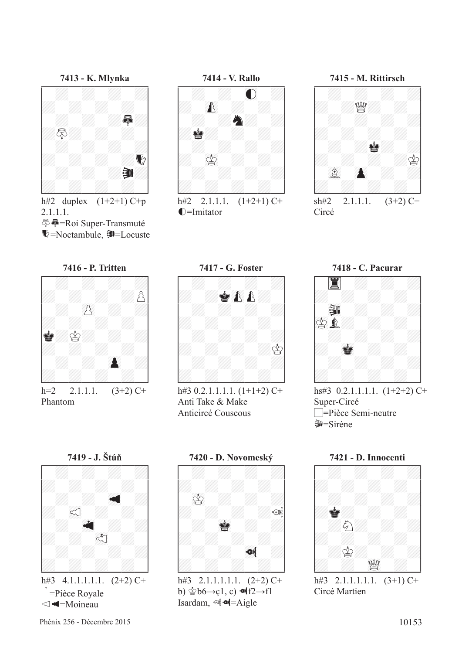

2.1.1.1. 泰 — Roi Super-Transmuté  $\blacktriangleright$ =Noctambule,  $\blacktriangleright$ =Locuste



h#2 2.1.1.1.  $(1+2+1)$  C+  $\bigcirc$ =Imitator



sh#2 2.1.1.1.  $(3+2)$  C+ Circé







h#3 0.2.1.1.1.1. (1+1+2) C+ Anti Take & Make Anticircé Couscous



hs#3  $0.2.1.1.1.1$ .  $(1+2+2)$  C+ Super-Circé  $\Box$ =Pièce Semi-neutre **第**=Sirène



=Pièce Royale  $\triangleleft$ =Moineau



b)  $\mathcal{L}b6 \rightarrow c1$ , c)  $\mathcal{L}f2 \rightarrow f1$ Isardam,  $\mathcal{A}$   $\mathcal{A}$ =Aigle



Circé Martien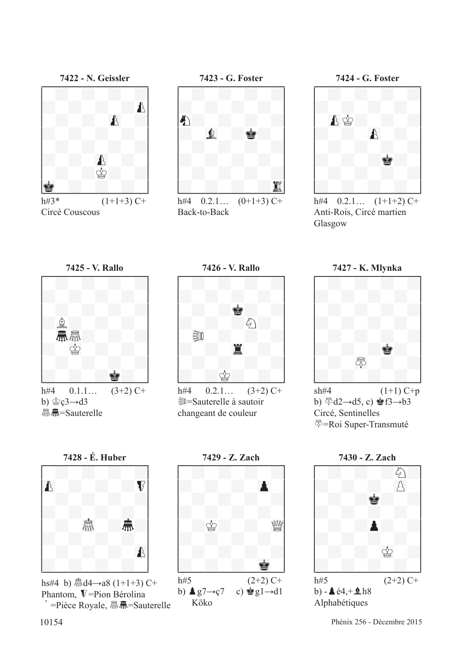

h#3\*  $(1+1+3)$  C+ Circé Couscous



h#4  $0.2.1...$   $(0+1+3)$  C+ Back-to-Back



h#4  $0.2.1...$   $(1+1+2)$  C+ Anti-Rois, Circé martien Glasgow







h#4  $0.2.1...$   $(3+2)$  C+ **EU**=Sauterelle à sautoir changeant de couleur





 $sh#4$  (1+1) C+p b)  $\sqrt[5]{d2}$  →d5, c)  $\sqrt[4]{3}$  f3 →b3 Circé, Sentinelles k=Roi Super-Transmuté



**显显=Sauterelle** 



Phantom,  $\nabla$ =Pion Bérolina  $\vec{p}$  =Pièce Royale,  $\vec{m}$  $\vec{m}$ =Sauterelle



b)  $\triangleq g7 \rightarrow c7$  c)  $\triangleq g1 \rightarrow d1$ Köko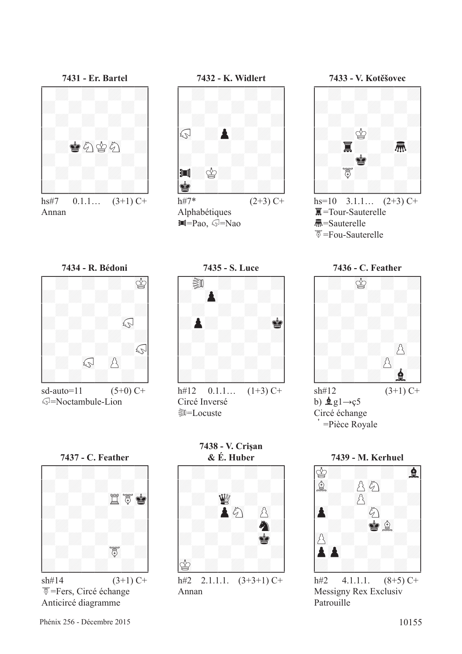

hs#7  $0.1.1...$   $(3+1)$  C+ Annan





Alphabétiques  $\blacksquare = Pao$ ,  $\mathbb{Q} = Nao$ 



hs=10  $3.1.1...$   $(2+3)$  C+  $\overline{\mathbb{R}}$ =Tour-Sauterelle 4=Sauterelle  $\overline{5}$ =Fou-Sauterelle





 $sd$ -auto=11  $(5+0)$  C+  $\mathbb{Q}$ =Noctambule-Lion



h#12  $0.1.1...$   $(1+3)$  C+ Circé Inversé **D**=Locuste





 $\overline{S}$ =Fers, Circé échange Anticircé diagramme

**7438 - V. Crişan**



Annan



Messigny Rex Exclusiv Patrouille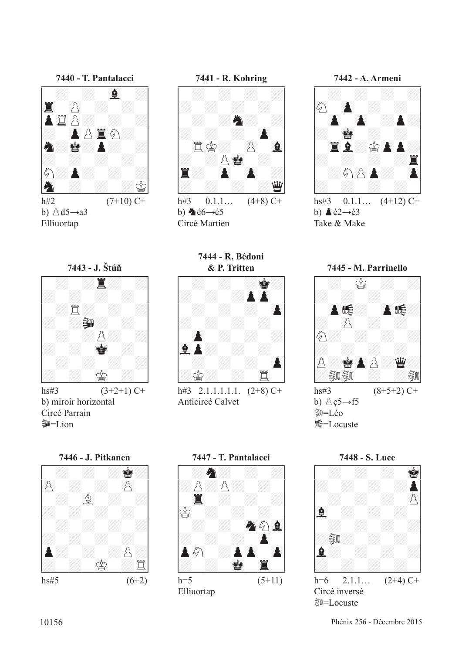

b)  $\triangle d5 \rightarrow a3$ Elliuortap



h#3  $0.1.1...$   $(4+8)$  C+ b)  $\triangle 66 \rightarrow 65$ Circé Martien

**7444 - R. Bédoni**



hs#3  $(3+2+1)$  C+ b) miroir horizontal Circé Parrain **第三Lion** 



h#3 2.1.1.1.1.1.  $(2+8)$  C+ Anticircé Calvet





hs#3  $0.1.1...$   $(4+12)$  C+ b)  $\triangle 62 \rightarrow 63$ Take & Make







Elliuortap



Circé inversé **D=Locuste**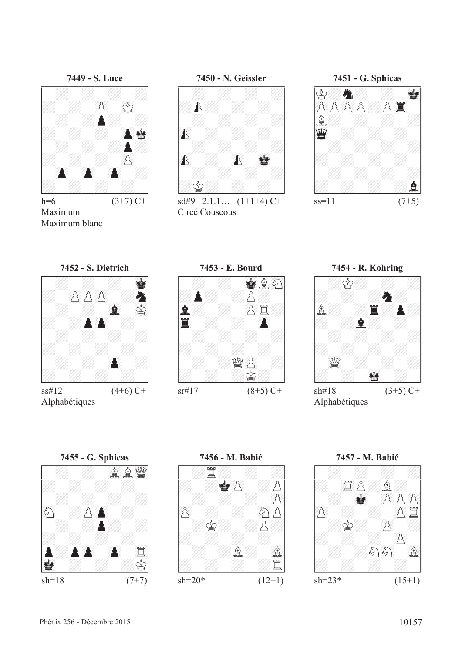

h=6  $(3+7)$  C+ Maximum Maximum blanc



 $sd#9$  2.1.1...  $(1+1+4)$  C+ Circé Couscous





Alphabétiques









**7456 - M. Babić**<br> **1990 - 1990 - 1990 - 1990 - 1990 - 1990 - 1990 - 1990 - 1990 - 1990 - 1990 - 1990 - 1990 - 1990 - 1990 - 1990 - 1990 - 1990 - 1990 - 1990 - 1990 - 1990 - 1990 - 1990 - 1990 - 1990 - 1990 - 1990 - 1990 -**

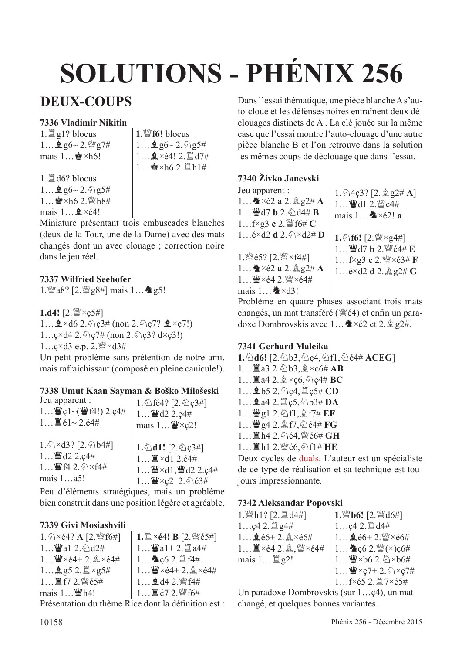# **SOLUTIONS - PHÉNIX 256**

# **DEUX-COUPS**

## **7336 Vladimir Nikitin**

 $1.$  $\Xi$  g1? blocus  $1...$   $96 - 2$ . @g7# mais  $1...$  $\blacktriangleright$  ×h6!

**1.**de**f6!** blocus  $1...$   $96 - 2.$   $95#$  $1...$  $2 \times 64!$  2.  $\mathbb{Z}$  d7#  $1 \quad \& \times h6 2 \quad \text{if } h1\#$ 

 $1.$  $\mathbb{Z}$  d6? blocus  $1...$   $96 - 2.$  2.85#  $1...$  $\bullet$ ×h6 2. $\mathbb{W}$ h8# mais  $1 \quad \underline{\bullet} \times 64!$ 

Miniature présentant trois embuscades blanches (deux de la Tour, une de la Dame) avec des mats changés dont un avec clouage ; correction noire dans le jeu réel.

### **7337 Wilfried Seehofer**

1.  $\mathbb{Z}$ a8? [2.  $\mathbb{Z}$ g8#] mais 1...  $\mathbb{Z}$ g5!

1.d4! [2. sexternal] 1… $\triangle$ ×d6 2. $\triangle$ c3# (non 2. $\triangle$ c7?  $\triangle$ ×c7!)  $1...$ ç×d4 2. $\Diamond$ ç7# (non 2. $\Diamond$ ç3? d×ç3!)  $1...$ ç×d $3$  e.p.  $2.$   $\mathbb{W} \times d3\#$ 

Un petit problème sans prétention de notre ami, mais rafraichissant (composé en pleine canicule!).

### **7338 Umut Kaan Sayman & Boško Milošeski**

| Jeu apparent :                                                      | 1. 公fé4? [2. 公c3#]                                                                                                                  |
|---------------------------------------------------------------------|-------------------------------------------------------------------------------------------------------------------------------------|
| $1$ 曾ç $1$ ~(曾f4!) 2.ç4#                                            | $1$ Wed2 2.c4#                                                                                                                      |
| $1 \mathbb{Z}$ é1~2.é4#                                             | mais $1 \dots \mathbf{W} \times c2!$                                                                                                |
| 1. 公×d3? [2. 公b4#]<br>$1$ Wed2 2.c4#<br>1 曹f4 2. 公×f4#<br>mais 1a5! | 1. $d1!$ [2. $Q$ $G$ $H$ ]<br>1 $\mathbb{Z} \times d1$ 2. $64\#$<br>  1 \xessur\\ xd1,\\dv\\dd2 2.ç4#<br>  1 \xessur\\ xc2 2. \@d3# |

Peu d'éléments stratégiques, mais un problème bien construit dans une position légère et agréable.

## **7339 Givi Mosiashvili**

| $1.\bigotimes \times 64?$ A [2. $\mathbb{W}[6\#]$ ] | 1. $\mathbb{Z} \times 64!$ B [2. $\mathbb{Z} \times 65#$ ] |
|-----------------------------------------------------|------------------------------------------------------------|
| 1 $\mathbf{W}$ a1 2. $\&$ d2#                       | $1$ Wal+ 2. $\Box a4#$                                     |
| $1$ W $\times$ $64+2.$ $\⋉$ $64#$                   | $1$ $\bullet$ c6 2. $\mathbb{Z}$ f4#                       |
| $1$ 2 g5 2. $\mathbb{Z} \times$ g5#                 | $1$ $\mathbf{W} \times 64 + 2 \mathbf{A} \times 64$ #      |
| $1$ 直f7 2. 暨é5#                                     | $1$ <b>Q</b> d4 2. $\mathcal{Q}$ f4#                       |
| mais $1 \dots \mathbf{W}$ h4!                       | $1$ ■ é7 2. 營 f6#                                          |
|                                                     | Drésentation du thème Dice dont la définition est          |

Presentation du thème Rice dont la définition est :

Dans l'essai thématique, une pièce blanche A s'auto-cloue et les défenses noires entraînent deux déclouages distincts de A . La clé jouée sur la même case que l'essai montre l'auto-clouage d'une autre pièce blanche B et l'on retrouve dans la solution les mêmes coups de déclouage que dans l'essai.

### **7340 Živko Janevski**

Jeu apparent :  $1...$ **a**  $\times$ é2 **a**  $2.\n$ **g**  $2\#$  **A**  $1 \quad \frac{W}{2}$  d7 **b** 2.  $\frac{6}{2}$  d4# **B** 1…f×g3 **c** 2. 彎f6# **C**  $1...$ é×d2 **d**  $2.\ddot{\varphi}$  ×d2# **D** 1. Wé5? [2. W × f4#]  $1...$ **A**  $\times$ é2 **a**  $2.\n$ **Q**  $2\#$  **A**  $1...$  $\mathbf{W} \times 64$  2. $\mathbf{W} \times 64$ # mais  $1 \dots \triangle 3!$  $1.\overline{6}$ 4ç3? [2. $\stackrel{6}{\leq}$ g2# **A**] 1… 曹d1 2. 暨é4# mais  $1 \cdot \bullet \times 62!$  **a 1.** ① **f6!** [2.  $\mathbb{W} \times$ g4#] 1... 曹d7 b 2. 暨é4# E 1…f×g3 **c** 2.  $\mathbb{W} \times 63 \# \mathbf{F}$ 1…é×d2 **d** 2. **g** g2# **G** 

Problème en quatre phases associant trois mats changés, un mat transféré ( $\mathcal{Q}(4)$ ) et enfin un paradoxe Dombrovskis avec 1...  $\triangle \times 2$  et 2.  $\angle g$  g2#.

### **7341 Gerhard Maleika**

**1.**①d6! [2.2b3,2c4, ①f1, ②é4# **ACEG**] 1... ■a3 2. ②b3, **③×ç6#** AB  $1...$ **Z** a4 2. $\×$   $c6, \×$  $c4 \# BC$ 1... **鱼b5 2. 它c4, 罝c5# CD** 1... **鱼**a4 2. 置ç5, ②b3# **DA** 1…  $\mathbf{W}$ g1 2.  $\Diamond$ f1,  $\Diamond$  f7# **EF** 1... 曹g4 2. <sup>1</sup>. 5(4# FG 1... ■h4 2. @é4, Sté6# GH 1... ■h1 2. 響é6, 公f1# **HE** 

Deux cycles de duals. L'auteur est un spécialiste de ce type de réalisation et sa technique est toujours impressionnante.

### **7342 Aleksandar Popovski**

 $1.$  With  $1$ ? [2.  $\mathbb{Z}$  d4#]  $1...$ c4 2. $\Xi$  g4#  $1...$ **g** $e6+2e$  $xe6#$  $1...$  $\mathbb{Z} \times 64$   $2.$  $\mathbb{Q}$ ,  $\mathbb{W} \times 64$ # mais  $1...$  $2$   $2!$ **1.**de**b6!** [2.ded6#]  $1...$ ç4 2. $\mathbb{Z}$ d4#  $1...$  $66+2$ . $%  $\times$ é $6#$$  $1...$   $\triangle$  c6 2.  $\mathbb{W}(\times)$ c6#  $1...$  $\mathbf{W} \times 662.$  $\Diamond \times 66\#$  $1...$  $\mathbf{W} \times c7+2.$   $\mathbf{\triangle} \times c7$ #  $1...$ f $\times$ é5 2. $1/2\times$ é5#

Un paradoxe Dombrovskis (sur 1…ç4), un mat changé, et quelques bonnes variantes.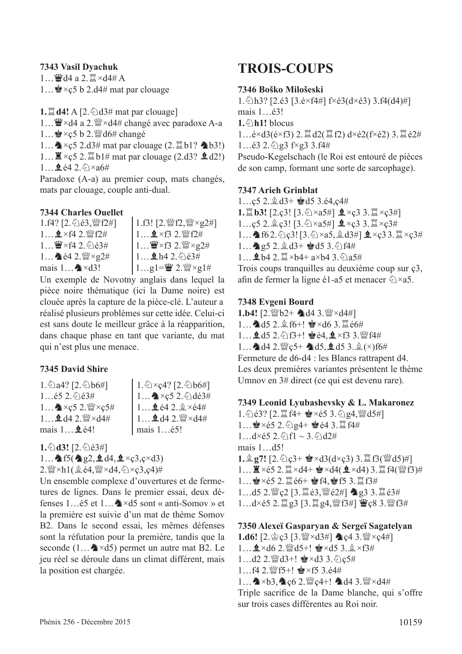#### **7343 Vasil Dyachuk**

 $1...$  $\ddot{w}$ d4 a 2. $\ddot{z} \times d4 \# A$ 

1...  $\bullet$  × c5 b 2.d4# mat par clouage

**1.** $\mathbb{Z}$  **d4!** A [2. $\Diamond$  d3# mat par clouage]

1… S×d4 a 2. a ×d4# changé avec paradoxe A-a

1...  $\bullet$  × c5 b 2.  $\mathbb{W}$  d6# changé

1... $\triangle$  ×c5 2.d3# mat par clouage (2. $\triangle$ b1?  $\triangle$ b3!)

1...  $\mathbb{Z} \times \mathfrak{c}5$  2.  $\mathbb{Z}$  b1# mat par clouage (2.d3?  $\mathfrak{Q}$  d2!)

 $1...$   $642\%$   $\times a6\#$ 

Paradoxe (A-a) au premier coup, mats changés, mats par clouage, couple anti-dual.

### **7344 Charles Ouellet**

1.f4? [2. 公é3, 曾f2#]  $1...$   $2 \times 14$  2.  $99$   $12#$  $1.99 \times 64.2.6844$  $1...$   $642$ .  $\frac{10}{2} \times 22$ # mais  $1 \dots \blacktriangle \times d3!$ 1.f3!  $[2, \frac{wr}{2}, \frac{wr}{2} \times g2\#]$  $1...$  $x \times f3$  2.  $\mathbb{W}f2\#$  $1...$  $\mathbf{W} \times \mathbf{f}3$  2. $\mathbf{W} \times \mathbf{g}2\#$ 1... **鱼h**4 2. ②é3#  $1...$ g1= $\mathbf{W}$  2. $\mathbf{W} \times \mathbf{g}$ 1#

Un exemple de Novotny anglais dans lequel la pièce noire thématique (ici la Dame noire) est clouée après la capture de la pièce-clé. L'auteur a réalisé plusieurs problèmes sur cette idée. Celui-ci est sans doute le meilleur grâce à la réapparition, dans chaque phase en tant que variante, du mat qui n'est plus une menace.

### **7345 David Shire**

1. 2a4? [2. 2b6#]  $1...$ é5 2. $\hat{Q}$ )é3#  $1...$   $\triangle\times$   $c5$  2.  $\mathbb{W}\times c5$ #  $1...$   $\frac{1}{2}$  d4 2.  $\frac{100}{2} \times$  d4# mais  $1 \cdot \mathbf{Q}$  é4!

 $1.\overline{\textcircled{2}\times}c4?$  [2.  $\overline{\textcircled{2}b6\#}$ ]  $1...$   $\diamond$  × c5 2.  $\diamond$  dé3#  $1...$   $642.$  $8 \times 64#$  $1\ldots$   $\triangleq$  d4 2.  $\mathbb{W}\times$ d4# mais 1…é5!

 $1.$  $\Diamond$ **d3!**  $[2.$  $\Diamond$ **e3#**]

1...  $\triangle$  f5( $\triangle$  g2,  $\triangle$  d4,  $\triangle$  ×ç3,ç×d3)

 $2.$  We  $\times$ h1( $\triangleq$  é4, We  $\times$ d4,  $\triangleq$   $\times$ c3,c4)#

Un ensemble complexe d'ouvertures et de fermetures de lignes. Dans le premier essai, deux défenses 1 é5 et 1  $\bullet$  ×d5 sont « anti-Somov » et la première est suivie d'un mat de thème Somov B2. Dans le second essai, les mêmes défenses sont la réfutation pour la première, tandis que la seconde  $(1...A \times d5)$  permet un autre mat B2. Le jeu réel se déroule dans un climat différent, mais la position est chargée.

# **TROIS-COUPS**

#### **7346 Boško Milošeski**

1. $\triangle$ h3? [2.é3 [3.é×f4#] f×é3(d×é3) 3.f4(d4)#] mais 1…é3! **1.**c**h1!** blocus  $1...\acute{e} \times d3(\acute{e} \times f3)$  2.  $\ddot{\Xi} d2(\ddot{\Xi} f2) d \times \acute{e}2(f \times \acute{e}2)$  3.  $\dddot{\Xi} \acute{e}2\ddot{\pi}$ 1... $\acute{e}3$  2. $\acute{e}$ g3 f×g3 3.f4# Pseudo-Kegelschach (le Roi est entouré de pièces de son camp, formant une sorte de sarcophage).

#### **7347 Arieh Grinblat**

 $1...c5$   $2.\n$  $\&$   $d3+$   $\&$   $d5$   $3.\n$ é $4,c4\#$ **1.** $\mathbb{E}$  **b3!** [2.ç3! [3. $\Diamond$ ×a5#]  $\mathbb{I} \times$ c3 3. $\mathbb{I} \times$ c3#] 1…ç5 2. $\hat{\mathbb{Q}}$  ç3! [3. $\hat{\mathbb{Q}} \times a5\#$ ]  $\hat{\mathbb{Q}} \times c3$  3. $\hat{\mathbb{Z}} \times c3\#$ 1... 162. 2c3! [3. 2×a5, 2d3#]  $x \times c$ 33. I ×c3#  $1...$  as  $2.\&d3+$  and  $3.\&fd4\#$  $1...$ **g** b4 2.  $\mathbb{Z} \times$ b4+ a×b4 3.  $\mathbb{Z}$ a5# Trois coups tranquilles au deuxième coup sur ç3, afin de fermer la ligne é1-a5 et menacer  $\&\times a5$ .

#### **7348 Evgeni Bourd**

**1.b4!**  $[2. \mathcal{W} b2+ \triangleleft d4 \cdot 3. \mathcal{W} \times d4\#]$  $1...$  and  $5$  2.  $\&$  f6+!  $\bullet$   $\times$  d6 3.  $\&$  e6# 1... **2.**d5 2. 2f3+! @ é4, **2** ×f3 3. @ f4# 1...  $\triangle 04$  2.  $\degree$ C5+  $\triangle 05$ ,  $\triangle 05$  3.  $\degree$  ( $\times$ )f6# Fermeture de d6-d4 : les Blancs rattrapent d4. Les deux premières variantes présentent le thème Umnov en 3# direct (ce qui est devenu rare).

#### **7349 Leonid Lyubashevsky & L. Makaronez**

1.cé3? [2.tf4+ R×é5 3.cg4,ded5#] 1… $\bullet \times 65$  2.  $\circled{2}$  g4+  $\bullet$  64 3. If f4#  $1.4 \times 65$  2.  $\textcircled{1}f1 \sim 3.$   $\textcircled{1}2\#$ mais 1 d5! **1.** $\hat{\mathbb{Q}}$ **g7!**  $[2.\hat{\triangle}$   $c3+ \hat{\mathbb{Q}} \times d3(d \times c3)$  3.  $\hat{\mathbb{Z}}$  f3( $\hat{\mathbb{Q}}$ d5)#] 1…  $\mathbb{E} \times 65$  2.  $\mathbb{E} \times d4+ \cong \times d4(2 \times d4)$  3.  $\mathbb{E} \cdot f4(\mathbb{W} \cdot f3)$ #  $1...$  $x \geq 5$  2.  $x \geq 6 +$   $x \geq 4$ ,  $x \geq 5$  3.  $x \geq 6$   $+$  $1...$ d5 2. $^{\omega}$ g2 [3. $\Xi$ é3, $^{\omega}$ gé2#]  $\Delta$ g3 3. $\Xi$ é3#  $1...$ d×é5 2.  $\Xi$  g3 [3.  $\Xi$  g4,  $\mathcal{Q}$ f3#]  $\mathcal{Q}$ ç8 3. $\mathcal{Q}$ f3#

#### **7350 Alexeï Gasparyan & Sergeï Sagatelyan**

**1.d6!** [2.含c3 [3. $\mathbb{W} \times d3\#$ ] **A**c4 3. $\mathbb{W} \times c4\#$ ]  $1...$  $2 \times d6$  2.  $d5 + 1$   $d \times d5$  3.  $2 \times f3#$ 1…d2 2. @d3+!  $\bullet \times d3$  3. @c5# 1…f4 2. $\mathbb{W}$ f5+!  $\bullet$  ×f5 3.é4# 1...  $\triangle\times$ b3,  $\triangle\times$ c6 2.  $\mathbb{Q}$ c4+!  $\triangleq$ d4 3.  $\mathbb{Q}\times$ d4# Triple sacrifce de la Dame blanche, qui s'offre sur trois cases différentes au Roi noir.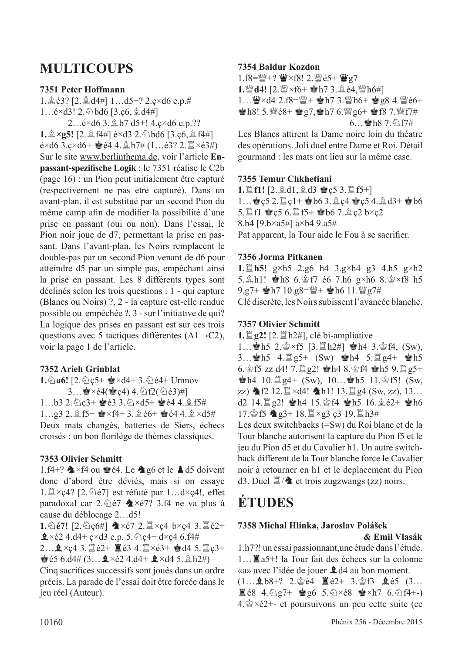# **MULTICOUPS**

#### **7351 Peter Hoffmann**

1.  $\&$  63? [2.  $\&$  d4#] 1...d5+? 2.ç×d6 e.p.#  $1...$ é $\times$ d3! 2. $\Diamond$ bd6 [3.ç6, $\Diamond$ d4#]

2... $\acute{e}$ ×d6 3. $\hat{L}$ b7 d5+! 4. $\c{ }$ ×d6 e.p.?? **1.** $\hat{A} \times g$ 5! [2. $\hat{A}$  f4#] é $\times$ d3 2. $\hat{C}$ bd6 [3.c6, $\hat{A}$  f4#]  $\acute{e}$ ×d6 3. $c \times d6+$  $\acute{e}$ e4 4. $\hat{p}$  b7# (1…é3? 2. $\ddot{p} \times \acute{e}3$ #) Sur le site www.berlinthema.de, voir l'article **Enpassant-spezifsche Logik** ; le 7351 réalise le C2b (page 16) : un Pion peut initialement être capturé (respectivement ne pas etre capturé). Dans un avant-plan, il est substitué par un second Pion du même camp afn de modifer la possibilité d'une prise en passant (oui ou non). Dans l'essai, le Pion noir joue de d7, permettant la prise en passant. Dans l'avant-plan, les Noirs remplacent le double-pas par un second Pion venant de d6 pour atteindre d5 par un simple pas, empêchant ainsi la prise en passant. Les 8 différents types sont déclinés selon les trois questions : 1 - qui capture (Blancs ou Noirs) ?, 2 - la capture est-elle rendue possible ou empêchée ?, 3 - sur l'initiative de qui? La logique des prises en passant est sur ces trois questions avec 5 tactiques différentes (A1→C2), voir la page 1 de l'article.

### **7352 Arieh Grinblat**

**1.** $\oint$ **a6!** [2. $\oint$ **c5+**  $\oint$ ×d4+ 3. $\oint$ ) $\oint$ e4+ Umnov  $3...$  $\leq \times 64$ ( $\leq c4$ )  $4.\circled{2}f2(\circled{2}63)$ #]  $1...b3$   $2.\&$   $3+$   $8e3$   $3.\&$   $\times d5+$   $8e4$   $4.\&$   $5\#$ 1...g3 2.  $2.$ f5+  $\bullet$ ×f4+ 3.  $2.66+$   $\bullet$ 64 4.  $2 \times d5#$ Deux mats changés, batteries de Siers, échecs croisés : un bon forilège de thèmes classiques.

### **7353 Olivier Schmitt**

1.f4+?  $\triangle\times$ f4 ou  $\triangleq$  é4. Le  $\triangleq$  g6 et le  $\triangleq$  d5 doivent donc d'abord être déviés, mais si on essaye 1.  $\mathbb{Z} \times \mathcal{C}$ 4? [2.  $\mathbb{Z}$ ) est réfuté par 1... d $\times \mathcal{C}$ 4!, effet paradoxal car 2. $\triangle$ é7  $\triangle$ ×é7? 3.f4 ne va plus à cause du déblocage 2…d5!

**1.** $\triangle$ é7! [2. $\triangle$ c6#]  $\triangle$ ×é7 2. $\triangle$ ×ç4 b×ç4 3. $\triangle$ é2+  $2 \times 62$  4.d4+ ç×d3 e.p. 5.  $2$  c4+ d×c4 6.f4#

2...  $\hat{Q} \times c4$  3.  $\hat{Z}$  é2+  $\hat{Z}$  é3 4.  $\hat{Z} \times c3$ +  $\hat{Q}$ d4 5.  $\hat{Z}$   $c3$ +  $\bullet$  65 6.d4# (3… $\bullet \times 62$  4.d4+  $\bullet \times$ d4 5. $\circ \bullet$ h2#)

Cinq sacrifces successifs sont joués dans un ordre précis. La parade de l'essai doit être forcée dans le jeu réel (Auteur).

#### **7354 Baldur Kozdon**

1.f8=營+? 曹×f8! 2.營é5+ 曹g7 1. **d4!** [2.  $\mathbb{W} \times 6 + \mathbb{Q}$  h7 3. **g** é4,  $\mathbb{W}$  h6#] 1… W×d4 2.f8=\f+ \$h7 3.\f+ \$g8 4.\fe6+  $\bullet$ h8! 5. $\%$ é8+  $\bullet$ g7, $\bullet$ h7 6. $\%$ g6+  $\bullet$ f8 7. $\%$ f7#  $6...$ eh8 7. $9f7#$ 

Les Blancs attirent la Dame noire loin du théatre des opérations. Joli duel entre Dame et Roi. Détail gourmand : les mats ont lieu sur la même case.

#### **7355 Temur Chkhetiani**

**1.**  $\mathbb{I}$  **f1!** [2. $\mathbb{A}$  d1, $\mathbb{A}$  d3  $\mathbb{Q}$  c5 3.  $\mathbb{I}$  f5+]  $1...$ eç5 2. $1 +$ eb6 3. $2c4$  eqc5 4. $2d3+$ eb6 5. 工f1 宫c5 6. 工f5+ 宫b6 7. 食c2 b×c2 8.b4 [9.b×a5#] a×b4 9.a5# Pat apparent, la Tour aide le Fou à se sacrifer.

#### **7356 Jorma Pitkanen**

**1.**t**h5!** g×h5 2.g6 h4 3.g×h4 g3 4.h5 g×h2 5. $\ln 1!$   $\ln 8$  6. $\ln 7$  é6 7.h6 g×h6 8. $\ln 8 \times$ f8 h5 9.g7+  $h7 10.98 = W + h6 11.$   $Wg7#$ Clé discrète, les Noirs subissent l'avancée blanche.

#### **7357 Olivier Schmitt**

**1.** $\mathbb{Z}$ **g2!** [2. $\mathbb{Z}$  h2#], clé bi-ampliative

1… h5 2. $\circ$  × f5 [3. $\mathbb{Z}$  h2#]  $\bullet$  h4 3. $\circ$  f4, (Sw), 3… $\bullet$ h5 4. $\Xi$ g5+ (Sw)  $\bullet$ h4 5. $\Xi$ g4+  $\bullet$ h5 6.  $\circ$  f5 zz d4! 7.  $\sharp$  g2!  $\bullet$  h4 8.  $\circ$  f4  $\bullet$  h5 9.  $\sharp$  g5+  $\bullet$ h4 10. $\Xi$ g4+ (Sw), 10… $\bullet$ h5 11. $\circ$ f5! (Sw,  $zz)$   $2f2$  12.  $x=44!$   $h1!$  13.  $x=4$  (Sw, zz), 13… d2 14. $\Xi$  g2!  $\bullet$  h4 15. $\circ$ f4  $\bullet$  h5 16. $\circ$ e2+  $\bullet$ h6  $17.$  \$f5  $\bigcirc$  g3+ 18.  $\mathbb{Z} \times$ g3 c3 19.  $\mathbb{Z}$  h3#

Les deux switchbacks (=Sw) du Roi blanc et de la Tour blanche autorisent la capture du Pion f5 et le jeu du Pion d5 et du Cavalier h1. Un autre switchback different de la Tour blanche force le Cavalier noir à retourner en h1 et le deplacement du Pion d3. Duel  $\ddot{\mathbb{Z}}$  / $\triangleq$  et trois zugzwangs (zz) noirs.

# **ÉTUDES**

#### **7358 Michal Hlinka, Jaroslav Polášek & Emil Vlasák**

1.h7?! un essai passionnant,une étude dans l'étude. 1…Ta5+! la Tour fait des échecs sur la colonne «a» avec l'idée de jouer **1** d4 au bon moment.  $(1...$   $\bullet$  b8+? 2. $\circledcirc$  é4  $\mathbb{E}$  é2+ 3. $\circledcirc$  f3  $\bullet$  é5  $(3...$ 

 $E = 68$  4. $\frac{5}{2}$ g7+  $E = 6$  5. $\frac{5}{2} \times 68$   $E = \frac{1}{2} \times 17$  6. $\frac{5}{2}$ f4+- $4.\n\&\times62+-$  et poursuivons un peu cette suite (ce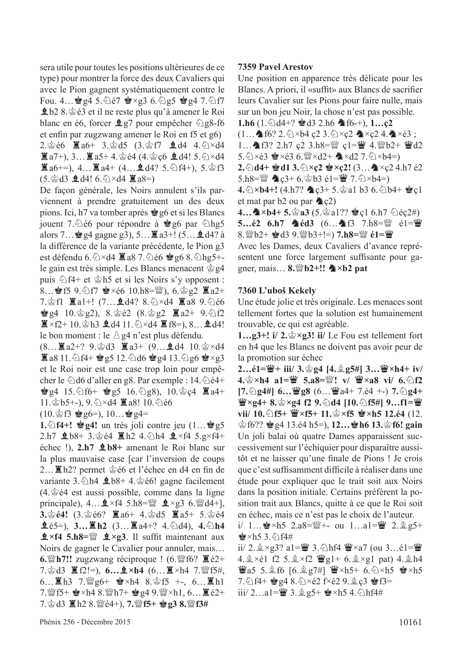sera utile pour toutes les positions ultérieures de ce type) pour montrer la force des deux Cavaliers qui avec le Pion gagnent systématiquement contre le Fou. 4...  $\mathbf{g}$ g4 5. $\mathbf{\Diamond}$ é7  $\mathbf{g} \times$ g3 6. $\mathbf{\Diamond}$ g5  $\mathbf{g}$ g4 7. $\mathbf{\Diamond}$ f7  $\pm$ b2 8. $\dot{\mathscr{L}}$ é3 et il ne reste plus qu'à amener le Roi blanc en é6, forcer  $\angle$ g7 pour empêcher  $\angle$ g8-f6 et enfn par zugzwang amener le Roi en f5 et g6) 2.當é6 ■a6+ 3.當d5 (3.當f7 **皇**d4 4.公×d4  $\Xi$  a7+), 3...  $\Xi$  a5+ 4. $\dot{\mathcal{Q}}$  é4 (4. $\dot{\mathcal{Q}}$  c6  $\dot{\Xi}$  d4! 5. $\dot{\mathcal{Q}} \times d4$  $\mathbb{Z}$  a6+=), 4...  $\mathbb{Z}$  a4+ (4...  $\mathbb{Q}$  d4? 5.  $\Diamond$  f4+), 5.  $\Diamond$  f3  $(5. \& d3 \triangleq d4! 6. \& \times d4 \triangleq a8=)$ 

De façon générale, les Noirs annulent s'ils parviennent à prendre gratuitement un des deux pions. Ici, h7 va tomber après  $\dot{\bullet}$  g6 et si les Blancs jouent 7. $\Diamond$ é6 pour répondre à  $\Diamond$ g6 par  $\Diamond$ hg5 alors 7… $\dot{•}$ g4 gagne g3), 5… $\ddot{•}$ a3+! (5… $\dot{•}$ d4? à la différence de la variante précédente, le Pion g3 est défendu 6. $\triangle \times$ d4  $\Xi$  a8 7. $\triangle$ é6  $\bullet$  g6 8. $\triangle$ hg5+le gain est très simple. Les Blancs menacent  $\dot{\mathcal{Q}}$  g4 puis  $\hat{\triangle}$  f4+ et  $\hat{\triangle}$  h5 et si les Noirs s'y opposent : 8… § f5 9.  $\circ$  f7  $\bullet \times 66$  10.h8= $\mathcal{W}$ ), 6. $\circ$ g2  $\mathbb{Z}$  a2+ 7. 宫f1  $\mathbb{Z}$ a1+! (7...  $\mathbb{Q}$ d4? 8. 公×d4  $\mathbb{Z}$ a8 9. 公é6  $\frac{1}{2}$ g4 10. $\frac{1}{2}$ g2), 8. $\frac{1}{2}$ é2 (8. $\frac{1}{2}$ g2  $\frac{1}{2}$ a2+ 9. $\frac{1}{2}$ f2  $\mathbb{Z} \times f2+10.$   $\circledcirc$  h3  $\mathbf{\underline{0}}$  d4 11.  $\circledcirc \times d4$   $\mathbb{Z}$  f8=), 8...  $\mathbf{\underline{0}}$  d4! le bon moment : le  $\triangle$  g4 n'est plus défendu.

 $(8... \rvert\!\!\!\rvert 3a2+? 9.$  $\circledcirc$ d3  $\rvert\!\!\!\rvert 3a3+ (9... \rvert 4a4 10.$  $\circledcirc$  ×d4  $\Xi$  a8 11. $\triangle$  f4+  $\bullet$  g5 12. $\triangle$  d6  $\bullet$  g4 13. $\triangle$  g6  $\bullet$  ×g3 et le Roi noir est une case trop loin pour empêcher le  $\triangle$ d6 d'aller en g8. Par exemple : 14. $\triangle$ é4+  $\bullet$ g4 15. $\circ$ f6+  $\bullet$ g5 16. $\circ$ g8), 10. $\circ$ c4  $\Xi$ a4+ 11. 宫b5+-), 9. 公×d4 置a8! 10. 公é6

 $(10.$  $\circledcirc$  f3  $\circledcirc$  g6=), 10… $\circledcirc$  g4=

**1.** $\triangle$ **f4+!**  $\triangleq$ **g4!** un très joli contre jeu (1… $\triangleq$ g5 2.h7  $\text{\textsterling}$  b8+ 3. $\text{\textsterling}$  é4  $\text{\textsterling}$  h2 4. $\text{\textsterling}$ h4  $\text{\textsterling} \times$ f4 5.g×f4+ échec !), **2.h7** F**b8+** amenant le Roi blanc sur la plus mauvaise case [car l'inversion de coups 2... ■h2? permet 含é6 et l'échec en d4 en fin de variante  $3.\text{\textdegreeled{}}h4 \text{ \textdegreeled{}}b8+4.\text{\textdegreeled{}}e6!$  gagne facilement  $(4.$  $\&$ é $4$  est aussi possible, comme dans la ligne principale),  $4... \triangle 4$   $\times$  f4 5.h8= $\omega$   $\triangle 4$   $\times$  g3 6. $\omega$ d4+], **3.**<br>**3.** 含é4! (3. 含é6?  $\mathbb{E}$  a6+ 4. 含d5  $\mathbb{E}$  a5+ 5. 含é4  $\hat{\mathbf{g}}(65=), \; 3... \equiv \mathbf{h2} \; (3... \equiv \mathbf{a}4^{+}$ ? 4. $\hat{\odot}$ d4), 4. $\hat{\odot}$ h4  $\mathbf{\hat{L}} \times$ **f4 5.h8**= $\mathbf{\hat{E}} \times \mathbf{\hat{E}}$   $\mathbf{\hat{E}} \times \mathbf{\hat{E}}$ 3. Il suffit maintenant aux Noirs de gagner le Cavalier pour annuler, mais… **6.**  $\mathbb{Z}$  h7!! zugzwang réciproque ! (6.  $\mathbb{Z}$  f6?  $\mathbb{Z}$  é2+ 7.含d3 **置f2!=), 6.... k×h4** (6... **置**×h4 7. *瞥f5*#, 6...  $\mathbb{Z}$ h3 7. $\mathbb{Z}$ g6+  $\mathbb{Z}$ ×h4 8. $\mathbb{Z}$ f5 +-, 6...  $\mathbb{Z}$ h1 7. 營f5+ 會×h4 8. 營h7+ 會g4 9. 營×h1, 6… 薑é2+ 7.rd3 Th2 8.deé4+), **7.**de**f5+** R**g3 8.**de**f3#**

#### **7359 Pavel Arestov**

Une position en apparence très délicate pour les Blancs. A priori, il «sufft» aux Blancs de sacrifer leurs Cavalier sur les Pions pour faire nulle, mais sur un bon jeu Noir, la chose n'est pas possible.

**1.h6**  $(1.\overline{\Diamond}d4+? \otimes d3 \ 2.h6 \ \triangleq f6-+), 1...c2$  $(1...A$  f6? 2.  $\×$ b4 ç2 3.  $\×$ c2  $\×$ c2 4.  $\×$ é3 ; 1... 个f3? 2.h7 ç2 3.h8= [c1= ] c1= ] 4. [b2+ ] d2 5.  $\Diamond \times 63$  &  $\times 63$  6.  $\mathbb{W} \times d2 + \mathbb{A} \times d2$  7.  $\Diamond \times b4=$ ) **2.**  $\triangle$ **d4+**  $\triangleq$ **d1 3.**  $\triangleq$ ×**ç2**  $\triangleq$ **xc2!** (3...  $\triangleq$ ×ç2 4.h7 é2 5.h8= $\mathbb{Q}$   $\triangle$  c<sub>3</sub>+ 6. $\circledcirc$  b3 é1= $\mathbb{Q}$  7. $\circledcirc$  × b4=) **4.** $\triangle$ ×**b4+!** (4.h7? ♦)  $c3+5.$  al b3 6.  $\triangle$ b4+  $\triangleq$ c1 et mat par  $b2$  ou par  $\triangleleft c2$ ) **4... ▲×b4+ 5.**��a3 (5.��a1?? ●ç1 6.h7 ②éç2#) **5…é2 6.h7 ▲éd3** (6…▲f3 7.h8= $\mathbb{Q}$  é1=曹 8. *W*<sup>1</sup>b2+ 會d3 9. W<sup>1</sup>b3+!=) **7.h8**= W é1= W

Avec les Dames, deux Cavaliers d'avance représentent une force largement suffsante pour gagner, mais... **8.***W*<sub>b2</sub>+!! **4**×**b2** pat

#### **7360 L'uboš Kekely**

Une étude jolie et très originale. Les menaces sont tellement fortes que la solution est humainement trouvable, ce qui est agréable.

**1...g3+! i/ 2.** $\circledcirc \times g3!$  **ii/ Le Fou est tellement fort** en h4 que les Blancs ne doivent pas avoir peur de la promotion sur échec

**2…é1=曹+ iii/ 3.當g4 [4.鼻g5#] 3…曹×h4+ iv/ 4.**��� xh4 a1=�� 5.a8=��! v/ ��×a8 vi/ 6. ①f2  $[7. \triangle$ **g4#] 6...**  $\mathbf{\mathcal{L}}$ **g8** (6...  $\mathbf{\mathcal{L}}$ a4+ 7.é4 +-) 7. $\triangle$ **g4+ W**×g4+ 8.��×g4 f2 9.��d4 [10.��f5#] 9…f1=\ **vii/ 10. ①f5+ 曾×f5+ 11. ②×f5 會×h5 12.é4 (12.**  $\oint$  f6??  $\oint$  g4 13.é4 h5=), **12…** $\oint$  **h6 13.** $\oint$  f6! gain Un joli balai où quatre Dames apparaissent successivement sur l'échiquier pour disparaître aussitôt et ne laisser qu'une fnale de Pions ! Je crois que c'est suffisamment difficile à réaliser dans une étude pour expliquer que le trait soit aux Noirs dans la position initiale. Certains préfèrent la position trait aux Blancs, quitte à ce que le Roi soit en échec, mais ce n'est pas le choix de l'auteur.

i/ 1...  $\mathbf{r} \times \mathbf{h}$  2.a8= $\mathbb{W}$ +- ou 1...a1= $\mathbb{W}$  2.  $\mathbb{Q}$  g5+  $\bullet$  ×h5 3. $\circ$  f4#

ii/ 2. $\×$ g3? a1= $\×$  3.  $\→$ hf4  $\×$ a7 (ou 3...é1= $\×$ 4.  $\& \times 61$  f2 5.  $\& \times 62$   $\mathbf{W}$  g1+ 6.  $\& \times$ g1 pat) 4.  $\& h4$  $\mathbf{W}$ a5 5. $\mathbf{\hat{\mathbb{E}}}$  f6 [6. $\mathbf{\hat{\mathbb{E}}}$  g7#]  $\mathbf{W} \times h$ 5+ 6. $\mathbf{\hat{\mathbb{E}}} \times h$ 5  $\mathbf{\hat{\mathbb{E}}} \times h$ 5  $7.\, \textcircled{1}$  f4+  $\bigcircled{g}$  g4 8.  $\bigcircled{2} \times 62$  f $\times 62$  9.  $\bigcircled{2}$  c3  $\bigcircled{g}$  f3= iii/ 2…a1= $\ddot{w}$  3.  $\hat{w}$  g5+  $\dot{w}$  ×h5 4.  $\Diamond$ hf4#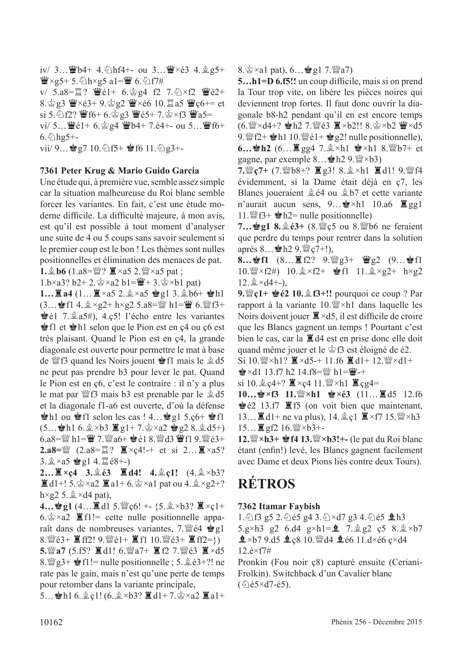iv/ 3...  $\mathbf{W}$ b4+ 4. hf4+- ou 3...  $\mathbf{W} \times 63$  4.  $\mathbf{Q}$  g5+  $\mathbf{\Psi} \times \mathbf{g}$ 5+ 5. $\mathbf{\Diamond}$ h $\times$ g5 a1= $\mathbf{\Psi}$  6. $\mathbf{\Diamond}$ f7# v/  $5. a8 = \mathbb{Z}$ ?  $\mathbb{Z}61 + 6.$  $\mathbb{Z}624$  f2  $7. \mathbb{Z} \times f2$   $\mathbb{Z}62 +$ 8. $\frac{1}{2}$ g3  $\frac{11}{2} \times 63 + 9$ . $\frac{1}{2}$ g2  $\frac{11}{2} \times 66$  10. $\frac{11}{2}$ a5  $\frac{11}{2}$ c6+= et si 5.  $2f2$ ?  $f6 + 6.2g3$   $f6 + 7.2x + 3$   $f2 =$ vi/ 5… $\ddot{\mathbf{w}}$ é1+ 6. $\dot{\mathbf{\otimes}}$  g4  $\ddot{\mathbf{\otimes}}$ b4+ 7.é4+- ou 5… $\ddot{\mathbf{\otimes}}$ f6+  $6.$  hg 5+ $viii/ 9...$   $g7 10.$   $\odot$  f5+  $g$ f6 11.  $\odot$  g3+-

**7361 Peter Krug & Mario Guido Garcia**

Une étude qui, à première vue, semble assez simple car la situation malheureuse du Roi blanc semble forcer les variantes. En fait, c'est une étude moderne diffcile. La diffculté majeure, à mon avis, est qu'il est possible à tout moment d'analyser une suite de 4 ou 5 coups sans savoir seulement si le premier coup est le bon ! Les thèmes sont nulles positionnelles et élimination des menaces de pat.

**1.** $\triangle$ **b6** (1.a8= $\mathbb{W}$ ?  $\mathbb{Z} \times$ a5 2. $\mathbb{W} \times$ a5 pat ;

 $1.b \times a3? b2 + 2.\n\& \times a2 b1 = \mathbf{W} + 3.\n\& \times b1$  pat)

 $1...$ **E** a4  $(1...$ **E** ×a5 2.**g** ×a5  $\bullet$  g1 3.gb6+  $\bullet$ h1  $(3...$  of f1 4.  $\×$  × g2 + h×g2 5.a8= $\×$  h1= $\×$  6.  $\×$  f3+  $\bullet$ é1 7. $\&$ a5#), 4.ç5! l'écho entre les variantes **Solution** selon que le Pion est en ç4 ou ç6 est très plaisant. Quand le Pion est en ç4, la grande diagonale est ouverte pour permettre le mat à base de  $\mathcal{Q}$ f3 quand les Noirs jouent  $\mathcal{Q}$ f1 mais le  $\mathcal{Q}$ d5 ne peut pas prendre b3 pour lever le pat. Quand le Pion est en ç6, c'est le contraire : il n'y a plus le mat par  $\mathbb{W}$ f3 mais b3 est prenable par le  $\&$  d5 et la diagonale f1-a6 est ouverte, d'où la défense  $\bullet$ h1 ou  $\bullet$ f1 selon les cas ! 4... $\bullet$ g1 5.ç6+  $\bullet$ f1  $(5...$  h1 6. $\& \times b3 \mathbb{Z}$  g1+ 7. $\& \times a2 \mathbb{Z}$  g2 8. $\& d5+$ ) 6.a8= $\frac{100}{2}$  h1= $\frac{100}{2}$  7.  $\frac{100}{2}$ a6+  $\frac{100}{2}$ é1 8.  $\frac{100}{2}$ d3  $\frac{100}{2}$ f1 9.  $\frac{100}{2}$ é3+ **2.a8=***s* (2.a8= $\Xi$ ?  $\Xi \times c4!$ -+ et si 2… $\Xi \times a5$ ? 3.  $2 \times a5$  reg 14.  $2 \times 68 + -$ )

**2...** $\mathbb{I} \times c4$  3.  $\mathbb{I} \times d3$   $\mathbb{I} \times d4!$  4.  $\mathbb{I} \times c1!$  (4.  $\mathbb{I} \times b3?$  $\mathbb{Z}$ d1+! 5. $\mathbb{Z} \times a2 \mathbb{Z} a1+6$ . $\mathbb{Z} \times a1$  pat ou 4. $\mathbb{Z} \times a2+$ ? h×g2 5. $\triangle$ ×d4 pat),

**4…會g1** (4…■d1 5.  $\mathcal{L}$ c6! +- {5.  $\mathcal{L} \times 53$ ? ■×ç1+  $6.\n\&\times a2 \quad \mathbb{E}[f] = \text{cette}$  nulle positionnelle apparaît dans de nombreuses variantes, 7. We4  $\dot{\mathbf{g}}$ g1 8. $\frac{w}{2}$ é3+  $\frac{w}{2}$ ff2! 9. $\frac{w}{2}$ é1+  $\frac{w}{2}$ f1 10. $\frac{w}{2}$ é3+  $\frac{w}{2}$ ff2=}) **5.** $\mathbb{W}$ **a7** (5.f5?  $\mathbb{Z}$ d1! 6. $\mathbb{W}$ a7+  $\mathbb{Z}$ f2 7. $\mathbb{W}$ é3  $\mathbb{Z} \times d5$ 8.  $\mathbb{Q}$  g3+  $\mathbb{S}$  f1!= nulle positionnelle ; 5.  $\mathbb{Q}$  e3+?! ne rate pas le gain, mais n'est qu'une perte de temps pour retomber dans la variante principale,

 $5...$  h1 6.  $2c1!$  (6.  $2 \times b3$ ?  $\mathbb{Z}$  d1+7.  $2 \times a2 \mathbb{Z}$  a1+

8. $\&$  ×a1 pat), 6… $\&$  g1 7. $\&$  a7)

**5…h1=D 6.f5!!** un coup difficile, mais si on prend la Tour trop vite, on libère les pièces noires qui deviennent trop fortes. Il faut donc ouvrir la diagonale b8-h2 pendant qu'il en est encore temps (6.  $\mathbb{W} \times d4+$ ? ●h2 7.  $\mathbb{W} \in 3$   $\mathbb{Z} \times b2$ !! 8.  $\mathbb{Q} \times b2$   $\mathbb{W} \times d5$ 9.  $\mathcal{L}$  +  $\mathcal{L}$  h1 10.  $\mathcal{L}$  e1+  $\mathcal{L}$  g2! nulle positionnelle), **6…會h2** (6…罝gg4 7. $\triangleq \times h1$  ●×h1 8.瞥b7+ et gagne, par exemple  $8...$   $\bullet$  h2  $9.$   $\mathbb{W} \times 63$ )

**7.** [c7+ (7. [b8+?  $\mathbb{Z}$  g3! 8.  $\&$  ×h1  $\mathbb{Z}$  d1! 9. [f4] évidemment, si la Dame était déjà en ç7, les Blancs joueraient  $\hat{\mathbb{E}}$  é4 ou  $\hat{\mathbb{E}}$  b7 et cette variante n'aurait aucun sens,  $9...$  $\bullet \times h1$  10.a6  $\Xi$ gg1 11.  $\mathcal{L}$   $\mathbf{3}$  +  $\mathcal{L}$  = nulle positionnelle)

**7…會g1 8.**愈é3+ (8. *s* € ou 8. *s* **e** b6 ne feraient que perdre du temps pour rentrer dans la solution après 8...  $\bullet$  h2 9. $\mathcal{Q}(7+1)$ ,

8…會f1 (8…置f2? 9.彎g3+ 彎g2 (9…會f1 10.  $\mathbb{W} \times f2\#$ ) 10.  $\& \times f2+$   $\bullet$  f1 11.  $\& \times g2+$  h $\times g2$  $12.2 \times d4+$ -),

**9.***\ei* **e**<sup>2</sup> 10. **e f**3+!! pourquoi ce coup ? Par rapport à la variante  $10.$ <sup>w</sup> $\times$ h1 dans laquelle les Noirs doivent jouer  $\mathbb{Z} \times d5$ , il est difficile de croire que les Blancs gagnent un temps ! Pourtant c'est bien le cas, car la  $\mathbb{Z}$  d4 est en prise donc elle doit quand même jouer et le  $\hat{\otimes}$  f3 est éloigné de é2.

 $Si$  10.  $\sqrt{2}$ ×h1?  $\cancel{\Xi}$ ×d5-+ 11.f6  $\cancel{\Xi}$ d1+ 12.  $\sqrt{2}$ ×d1+  $\mathbf{P} \times d1$  13.f7 h2 14.f8= $\mathbf{W}$  h1= $\mathbf{W}$ -+

si 10. $\angle$ c4+?  $\angle$ ×c4 11. $\angle$ y×h1  $\angle$ cg4=

10…<sup>•</sup>→f3 11. ■×h1 •→→é3 (11…■d5 12.f6  $\dot{\mathbf{\hat{E}}}$ é2 13.f7  $\ddot{\mathbf{\hat{E}}}$  f5 (on voit bien que maintenant, 13…  $\mathbb{Z}$  d1+ ne va plus), 14.  $\hat{\mathbb{Z}}$  c1  $\mathbb{Z} \times f$ 7 15.  $\mathbb{Z} \times h$ 3 15… $\Xi$  gf2 16. $\mathbb{W}\times$ b3+-

**12.**<sup>*w*</sup> × **h3+** *e* **f4 13.**<sup>*w*</sup> × **b3!** + - (le pat du Roi blanc étant (enfn!) levé, les Blancs gagnent facilement avec Dame et deux Pions liés contre deux Tours).

# **RÉTROS**

### **7362 Itamar Faybish**

1.  $\circ$ 13 g5 2.  $\circ$ 1é5 g4 3.  $\circ$ 1 $\times$ d7 g3 4.  $\circ$ 1é5  $\pm$ h3 5.g×h3 g2 6.d4 g×h1= $\hat{Q}$  7. $\hat{Q}$  g2 c5 8. $\hat{Q}$ ×b7  $2 \times b7$  9.d5  $2 c8$  10. ded 4  $2 e6$  11.d $\times$ é6 c $\times$ d4 12.é×f7#

Pronkin (Fou noir ç8) capturé ensuite (Ceriani-Frolkin). Switchback d'un Cavalier blanc  $(\text{\textdegree} 5\times d7 - 65)$ .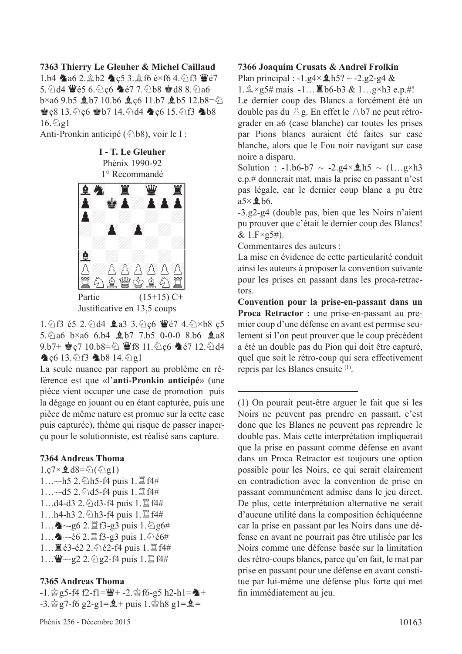#### **7363 Thierry Le Gleuher & Michel Caillaud**

1.b4  $\triangle$ a6 2. $\triangle$ b2  $\triangle$ c5 3. $\triangle$ f6 é×f6 4. $\triangle$ f3  $\angle$ e7 5. Ad4  $\mathbf{\mathcal{L}}$  65 6. Ac6  $\mathbf{\mathcal{L}}$  67 7. Ab8  $\mathbf{\mathcal{L}}$  d8 8. Aa6  $b \times a69. b5$   $Q b7 10. b6$   $Q c6 11. b7 2 b5 12. b8 = Q$  $\bullet$  c<sub>8</sub> 13. $\circ$  c<sub>6</sub>  $\bullet$  b7 14. $\circ$ d4  $\bullet$  c<sub>6</sub> 15. $\circ$ f3  $\bullet$  b8  $16.$  $Q$ g $1$ 

Anti-Pronkin anticipé ( $\&$ b8), voir le I :



1.  $\triangle$  f3 é5 2.  $\triangle$  d4 **e** a3 3.  $\triangle$  c6  $\triangle$  e7 4.  $\triangle$  × b8 c5 5. $\triangle$ a6 b×a6 6.b4 **2** b7 7.b5 0-0-0 8.b6 **2** a8  $9.57 +$   $C7$  10.b8= $\Diamond$   $C7$  11. $\Diamond$ c6  $C7$  12. $\Diamond$ d4 4 c6 13. 2f3 4b8 14. 2g1

La seule nuance par rapport au problème en référence est que «l'**anti-Pronkin anticipé**» (une pièce vient occuper une case de promotion puis la dégage en jouant ou en étant capturée, puis une pièce de même nature est promue sur la cette case puis capturée), thème qui risque de passer inaperçu pour le solutionniste, est réalisé sans capture.

#### **7364 Andreas Thoma**

 $1.\text{c7} \times \text{d}8 = \text{d}(\text{q}1)$  $1...$ ~h5 2. $\Diamond$ h5-f4 puis  $1.\Xi$ f4# 1...~-d5 2. @d5-f4 puis 1. <sup>置 f4#</sup> 1...d4-d3 2. @d3-f4 puis 1. <sup>[2]</sup> f4# 1...h4-h3 2. h3-f4 puis 1. <sup>[1]</sup> f4#  $1...$   $\bullet$  ~-g6 2.  $\mathbb{Z}$  f3-g3 puis 1.  $\Diamond$  g6# 1... **A**~-é6 2.  $\mathbb{Z}$  f3-g3 puis 1. 仑é6# 1... ■ é3-é2 2. ② é2-f4 puis 1.  $\mathbb{Z}$  f4#  $1...$  曹~-g2 2.  $2.$   $2.5$  g2-f4 puis 1.  $\Xi$  f4#

#### **7365 Andreas Thoma**

 $-1.$  $\frac{3}{2}$ g5-f4 f2-f1= $\frac{10}{2}$ + -2. $\frac{3}{2}$ f6-g5 h2-h1= $\frac{10}{2}$ +  $-3.$  $\frac{6}{9}$ g7-f6 g2-g1= $\frac{6}{9}$ + puis 1. $\frac{6}{9}$ h8 g1= $\frac{6}{9}$ =

#### **7366 Joaquim Crusats & Andreï Frolkin**

Plan principal :  $-1.g4 \times 1.65$ ? ~  $-2.g2-g4$  &  $1.\n\&\times g5\# \text{ mais } -1...\n\mathbb{Z}$  b6-b3 &  $1...\cancel{g}\times h3 \text{ e.p.}\#!$ Le dernier coup des Blancs a forcément été un double pas du  $\triangle$  g. En effet le  $\triangle$  b7 ne peut rétrograder en a6 (case blanche) car toutes les prises par Pions blancs auraient été faites sur case blanche, alors que le Fou noir navigant sur case noire a disparu.

Solution : -1.b6-b7  $\sim$  -2.g4 $\times$  \$h5  $\sim$  (1...g×h3 e.p.# donnerait mat, mais la prise en passant n'est pas légale, car le dernier coup blanc a pu être  $a5\times 26$  h6.

-3.g2-g4 (double pas, bien que les Noirs n'aient pu prouver que c'était le dernier coup des Blancs!  $& 1.F \times g5\#$ ).

Commentaires des auteurs :

La mise en évidence de cette particularité conduit ainsi les auteurs à proposer la convention suivante pour les prises en passant dans les proca-retractors.

**Convention pour la prise-en-passant dans un Proca Retractor :** une prise-en-passant au premier coup d'une défense en avant est permise seulement si l'on peut prouver que le coup précédent a été un double pas du Pion qui doit être capturé, quel que soit le rétro-coup qui sera effectivement repris par les Blancs ensuite (1).

(1) On pourait peut-être arguer le fait que si les Noirs ne peuvent pas prendre en passant, c'est donc que les Blancs ne peuvent pas reprendre le double pas. Mais cette interprétation impliquerait que la prise en passant comme défense en avant dans un Proca Retractor est toujours une option possible pour les Noirs, ce qui serait clairement en contradiction avec la convention de prise en passant communément admise dans le jeu direct. De plus, cette interprétation alternative ne serait d'aucune utilité dans la composition échiquéenne car la prise en passant par les Noirs dans une défense en avant ne pourrait pas être utilisée par les Noirs comme une défense basée sur la limitation des rétro-coups blancs, parce qu'en fait, le mat par prise en passant pour une défense en avant constitue par lui-même une défense plus forte qui met fn immédiatement au jeu.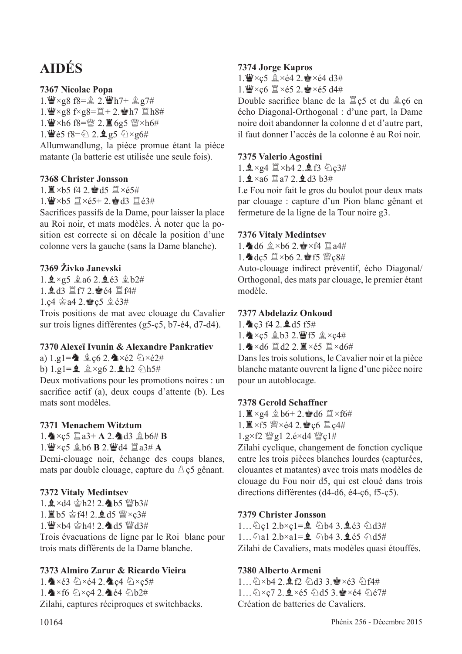# **AIDÉS**

## **7367 Nicolae Popa**

 $1.\n *W* \times *g*8 f8 = 2.\n *W*h7+ 2 g7#$  $1.\overline{\mathbf{W}} \times g8$  f $\times g8 = \overline{\mathbb{Z}} + 2.\overline{\mathbf{W}}$ h7  $\overline{\mathbb{Z}}$ h8# 1.  $\mathbf{W} \times h6$  f8= $\mathbf{W}$  2.  $\mathbf{I}$  6g5  $\mathbf{W} \times h6$ # 1.  $\mathbf{W}$ é5 f8= $\frac{6}{2}$  2.  $\mathbf{\underline{Q}}$  g5  $\frac{6}{2} \times$ g6# Allumwandlung, la pièce promue étant la pièce matante (la batterie est utilisée une seule fois).

#### **7368 Christer Jonsson**

1  $\equiv$  ×h5 f4 2. $\approx$ d5  $\approx$  ×é5#

 $1.$ W $\times$ b5  $\mathbb{Z} \times 65+ 2.$ Med3  $\mathbb{Z} \times 3#$ 

Sacrifces passifs de la Dame, pour laisser la place au Roi noir, et mats modèles. À noter que la position est correcte si on décale la position d'une colonne vers la gauche (sans la Dame blanche).

### **7369 Živko Janevski**

1.  $2 \times g5$   $2 \times a6$  2.  $2 \times 63$   $2 \times b2 \#$ 1. gd3 置f7 2. 會é4 置f4# 1.c4  $\triangleq$  a4 2. $\triangleq$  c5  $\triangleq$  é3#

Trois positions de mat avec clouage du Cavalier sur trois lignes différentes (g5-ç5, b7-é4, d7-d4).

#### **7370 Alexeï Ivunin & Alexandre Pankratiev**

a)  $1.91 =$   $\triangle$  c6 2.  $\triangle \times 62 \div 24$ 

b)  $1. \text{g1} = 2 \text{ g} \times \text{g6} 2.$   $\pm$  h2  $\Diamond$  h5#

Deux motivations pour les promotions noires : un sacrifce actif (a), deux coups d'attente (b). Les mats sont modèles.

### **7371 Menachem Witztum**

 $1.\n\triangle \times c5 \n\mathbb{Z}$ a3+ **A** 2. $\triangle$ d3  $\triangle$ b6# **B** 

 $1.$  $\mathbf{W} \times \mathbf{c}$ 5  $\mathbf{\hat{\mathbb{Q}}}$  b6 **B** 2. $\mathbf{W}$ d4  $\mathbf{\hat{\mathbb{Z}}}$ a3# **A** 

Demi-clouage noir, échange des coups blancs, mats par double clouage, capture du  $\triangle$  c5 gênant.

### **7372 Vitaly Medintsev**

1.  $\Delta \times$ d4  $\Delta$ h2! 2. b5  $\mathcal{W}$ b3# 1 買b5 含f4! 2. od5 瞥×c3#

1. W×b4 \$h4! 2. d5 Wd3#

Trois évacuations de ligne par le Roi blanc pour trois mats différents de la Dame blanche.

## **7373 Almiro Zarur & Ricardo Vieira**

1.  $\triangle\times$ é3  $\triangle\times$ é4 2.  $\triangle\times$ ç4  $\triangle\times$ ç5# 1.  $\blacktriangleright$   $\times$ f6  $\Diamond \times$ c4 2.  $\blacktriangleright$ é4  $\Diamond$ b2# Zilahi, captures réciproques et switchbacks.

#### **7374 Jorge Kapros**

1.  $\mathbf{W} \times c$ 5  $\hat{\mathbf{L}} \times c$ 4 2.  $\mathbf{W} \times c$ 4 d3#

1.  $\mathbf{W} \times \mathbf{c}6 \mathbf{X} \times 65$  2.  $\mathbf{W} \times 65$  d4#

Double sacrifice blanc de la  $\mathbb{Z}$  c5 et du  $\mathbb{Q}$  c6 en écho Diagonal-Orthogonal : d'une part, la Dame noire doit abandonner la colonne d et d'autre part, il faut donner l'accès de la colonne é au Roi noir.

#### **7375 Valerio Agostini**

 $1.2 \times 24 \times 142.293$ 

 $1.9 \times a6 \times a7$  2.9 d3 b3#

Le Fou noir fait le gros du boulot pour deux mats par clouage : capture d'un Pion blanc gênant et fermeture de la ligne de la Tour noire g3.

#### **7376 Vitaly Medintsev**

1. d6  $2 \times b6$  2.  $\approx \times 64$   $\Xi$  a4#

1. dc5  $\mathbb{I} \times 6$  2. 會f5 營c8#

Auto-clouage indirect préventif, écho Diagonal/ Orthogonal, des mats par clouage, le premier étant modèle.

#### **7377 Abdelaziz Onkoud**

 $1.$   $2.9$  f4 2.  $9.15$  f5#

1. Y × c 5  $\&$  b3 2. Ff5  $\&$  × c4#

1.  $\triangle\times$ d6  $\angle$ d2 2.  $\angle\times$ é5  $\angle$   $\times$ d6#

Dans les trois solutions, le Cavalier noir et la pièce blanche matante ouvrent la ligne d'une pièce noire pour un autoblocage.

#### **7378 Gerold Schaffner**

 $1. \mathbb{Z} \times g4 \text{ } \mathbb{Q}$  b6+ 2. $\mathbb{Q}$  d6  $\mathbb{Z} \times f6 \#$ 

 $1.$   $\mathbb{I} \times$ f5 營 $\times$ é4 2.  $\bullet$   $\in$ 6  $\mathbb{I}$   $c4#$ 

 $1.g \times f2 \cong g1 2.e \times d4 \cong c1#$ 

Zilahi cyclique, changement de fonction cyclique entre les trois pièces blanches lourdes (capturées, clouantes et matantes) avec trois mats modèles de clouage du Fou noir d5, qui est cloué dans trois directions différentes (d4-d6, é4-ç6, f5-ç5).

### **7379 Christer Jonsson**

 $1...$  Qc1 2.b×c1= $\hat{Q}$  2b4 3. $\hat{Q}$  e3  $\hat{Q}$ d3# 1...  $\triangle$ a1 2.b×a1= $\triangle$   $\triangle$ b4 3. $\triangle$ é5  $\triangle$ d5# Zilahi de Cavaliers, mats modèles quasi étouffés.

## **7380 Alberto Armeni**

1... 2×b4 2. 9f2 2d3 3. \*\* < 63 2f4# 1... 2×c7 2. 1×é5 2d5 3. \*\*é4 2é7# Création de batteries de Cavaliers.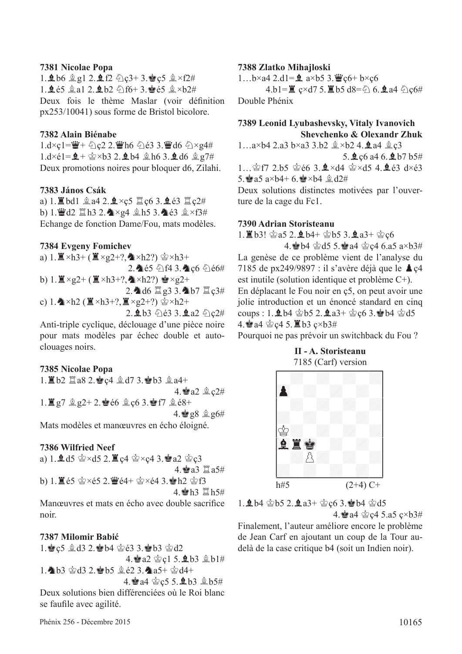#### **7381 Nicolae Popa**

 $1.969912.922223 + 3.8c58 \times 12#$ 1.  $\pm 65$   $\pm 3.1$  2.  $\pm 62$   $\odot$  f6+ 3.  $\pm 65$   $\pm 24$ Deux fois le thème Maslar (voir défnition px253/10041) sous forme de Bristol bicolore.

#### **7382 Alain Biénabe**

 $1. d \times c1 = \frac{w}{2} + c22.2$ .  $w = 6$   $c23.3$ .  $w = d6$   $c2 \times g4#$  $1. d \times 61 = 2 + \frac{1}{2} \times 63$  2.  $2.64$   $\frac{1}{2}$  h6 3.  $2. d6$   $\frac{1}{2}$  g7# Deux promotions noires pour bloquer d6, Zilahi.

#### **7383 János Csák**

a) 1.  $\mathbb{Z}$  bd1  $\mathbb{Q}$  a4 2.  $\mathbb{Q} \times c$ 5  $\mathbb{Z}$  c6 3.  $\mathbb{Q}$  é3  $\mathbb{Z}$  c2# b) 1. Ud2  $\Box$  h3 2.  $\triangle \times$ g4  $\angle$  h5 3.  $\triangle$  é3  $\angle$   $\times$  f3# Echange de fonction Dame/Fou, mats modèles.

#### **7384 Evgeny Fomichev**

a)  $1. \mathbb{Z} \times h3 + (\mathbb{Z} \times g2 + ?$ ,  $\mathbb{Z} \times h2$ ?)  $\mathbb{Q} \times h3 +$  $2.465$   $6143.266$  cf b)  $1. \mathbb{E} \times g2 + (\mathbb{E} \times h3 + ?$ ,  $\wedge \times h2$ ?)  $\wedge \times g2 +$ 2. d6  $\Xi$  g3 3. b7  $\Xi$  c3# c) 1. $\triangle$ ×h2 ( $\triangleq$ ×h3+?, $\triangleq$ ×g2+?)  $\triangleq$ ×h2+  $2.963$   $63.9.24$   $0c2#$ 

Anti-triple cyclique, déclouage d'une pièce noire pour mats modèles par échec double et autoclouages noirs.

#### **7385 Nicolae Popa**

 $1.$   $1.62$   $3.8$   $2.$   $2.4$   $2.47$   $3.4$   $b3$   $2.4+$  $4.$ a $2 \& c2#$  $1.$  $\Xi$  g7  $\&$  g2+ 2.  $\bullet$  é6  $\&$  c6 3. $\bullet$  f7  $\&$  é8+  $4.$ 98  $2.86#$ 

Mats modèles et manœuvres en écho éloigné.

#### **7386 Wilfried Neef**

a) 1.  $\triangleq$  d5  $\triangleq$  ×d5 2.  $\triangleq$  c4  $\triangleq$  ×c4 3. $\triangleq$  a2  $\triangleq$  c3  $4.$ ea3 $\Xi$ a5# b) 1. $\mathbb{E}$ é5  $\mathbb{Q} \times 65$  2. $\mathbb{Z}$ é4+  $\mathbb{Q} \times 64$  3. $\mathbb{E}$ h2  $\mathbb{Q}$ f3 4 **會h3 買h5#** Manœuvres et mats en écho avec double sacrifce

noir.

#### **7387 Milomir Babić**

1. c5  $\triangle$  d3 2. ab4  $\triangle$  e3 3. ab3  $\triangle$  d2 4. a2  $\&c1$  5.  $\&b3 \&b1#$ 1. b3 \$d3 2. b5 \$e2 3. a5+ \$d4+ 4. a4  $c$ 5 5. **2** b3  $c$  b5# Deux solutions bien différenciées où le Roi blanc

se faufle avec agilité.

#### **7388 Zlatko Mihajloski**

1...b×a4 2.d1= $\hat{Q}$  a×b5 3. $\hat{Q}$ c6+ b×ç6

4.b1= $\mathbb{Z}$  c×d7 5.  $\mathbb{Z}$  b5 d8= $\&$  6.  $\mathbb{Q}$  a4  $\&$  c6# Double Phénix

### **7389 Leonid Lyubashevsky, Vitaly Ivanovich Shevchenko & Olexandr Zhuk**

 $1...a \times b4$  2.a3  $b \times a3$  3.b2  $x \times b2$  4. **2** a4  $x \times c3$ 5.  $2c6$  a4 6.  $2b7 b5#$ 1  $\&$  f7 2.b5  $\&$  66.3  $\&$  ×d4  $\&$  ×d5.4  $\&$  63 d×63 5.  $a \times b4 + 6$ .  $a \times b4 = 0.24$ 

Deux solutions distinctes motivées par l'ouverture de la cage du Fc1.

#### **7390 Adrian Storisteanu**

1. **直b3!** 宫a5 2. 鱼b4+ 宫b5 3. 鱼a3+ 宫c6

4. b4  $\&$  d5 5. a4  $\&$  c4 6.a5 a×b3# La genèse de ce problème vient de l'analyse du 7185 de px249/9897 : il s'avère déjà que le  $\triangle$  c4 est inutile (solution identique et problème C+). En déplacant le Fou noir en ç5, on peut avoir une jolie introduction et un énoncé standard en cinq coups : 1.  $\Delta b4 \triangleleft b5$  2.  $\Delta a3+ \triangleleft c6$  3.  $\triangleleft b4 \triangleleft c5$ 4. a4 含c4 5. lb3 c×b3#

Pourquoi ne pas prévoir un switchback du Fou ?



1.  $\pm$  b4  $\dot{\text{ } }$ e b5 2.  $\pm$  a3+  $\dot{\text{ } }$ e c6 3. $\dot{\text{ } }$ e b4  $\dot{\text{ } }$ e d5 4. a4  $\&$  c4 5.a5 c×b3#

Finalement, l'auteur améliore encore le problème de Jean Carf en ajoutant un coup de la Tour audelà de la case critique b4 (soit un Indien noir).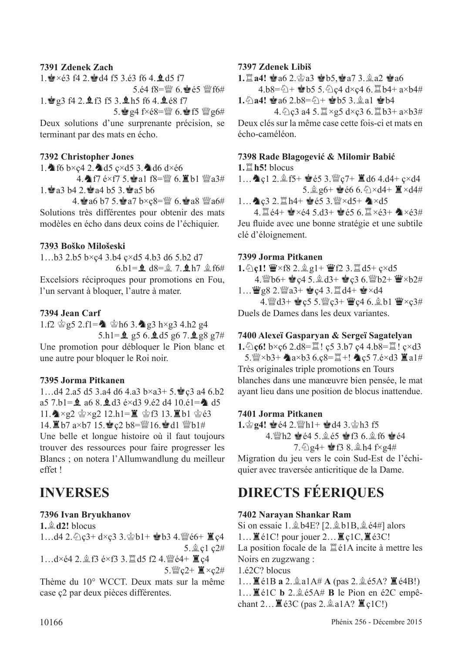#### **7391 Zdenek Zach**

 $1.$  $\bullet \times 63$  f4 2. $\bullet$  d4 f5 3.63 f6 4. $\bullet$  d5 f7 5.é4  $f8 = W$  6. $\bullet$ e5  $W$ f6# 1. g3 f4 2. g f3 f5 3. g h5 f6 4. g é8 f7 5.  $g4$  f $\times$ é8= $\mathcal{W}$  6.  $g$ f5  $\mathcal{W}$ g6#

Deux solutions d'une surprenante précision, se terminant par des mats en écho.

#### **7392 Christopher Jones**

1.  $f6 b \times c4 2.$  d5  $c \times d5 3.$  d6 d $\times 66$ 

4. TH é×f7 5. a1 f8=瞥 6. Kb1 瞥a3#  $1.42.4$  a3 b4 2.  $4.4$  b5 3.  $4.4$  a5 b6

4. a6 b7 5.  $a7 b \times c8 =$   $\frac{m}{2} 6$ .  $a8 \frac{m}{2} a6 \#$ Solutions très différentes pour obtenir des mats modèles en écho dans deux coins de l'échiquier.

#### **7393 Boško Milošeski**

1…b3 2.b5 b×ç4 3.b4 ç×d5 4.b3 d6 5.b2 d7 6.b1= $\frac{6}{5}$  d8= $\frac{6}{5}$  7.  $\frac{6}{5}$  h7.  $\frac{6}{5}$  f6#

Excelsiors réciproques pour promotions en Fou, l'un servant à bloquer, l'autre à mater.

#### **7394 Jean Carf**

1.f2  $\circ$  g5 2.f1= $\bullet$   $\circ$   $h6$  3. $\bullet$  g3 h×g3 4.h2 g4 5.h1= $\frac{6}{5}$  g5 6. $\frac{6}{5}$ d5 g6 7. $\frac{6}{5}$ g8 g7# Une promotion pour débloquer le Pion blanc et une autre pour bloquer le Roi noir.

#### **7395 Jorma Pitkanen**

1... $d4$  2.a5 d5 3.a4 d6 4.a3 b×a3+ 5. $\bullet$  c3 a4 6.b2 a5 7.b1= $\hat{Q}$  a6 8. $\hat{Q}$ d3 é×d3 9.é2 d4 10.é1= $\hat{Q}$  d5  $11.\n\text{A} \times g2 \n\text{A} \times g2 12.h1 = \n\text{A} \n\text{B} 13.\n\text{B} 10 \n\text{A} 63$ 14. ■b7 a×b7 15. • c2 b8=■16. • d1 ■b1# Une belle et longue histoire où il faut toujours trouver des ressources pour faire progresser les Blancs ; on notera l'Allumwandlung du meilleur effet !

### **7396 Ivan Bryukhanov**

 $1.$  $\oplus$   $d2!$  blocus 1... $d4$  2. $\&$ c3+ $d \times c$ 3 3. $\& b1 + \& b3$  4. $\& c6 + \& c4$ 5. gcl c2# 1…d×é4 2. 鱼f3 é×f3 3. 罝d5 f2 4. 鳖é4+ ■ç4  $5.$  (Next  $c2+$   $\mathbb{I} \times c2+$ 

Thème du 10° WCCT. Deux mats sur la même case ç2 par deux pièces différentes.

#### **7397 Zdenek Libiš**

**1.** $\Xi$  **a4!**  $\bullet$  a6 2. $\circ$  a3  $\bullet$  b5,  $\bullet$  a7 3. $\circ$  a2  $\bullet$  a6

4.b8= $\triangle$ +  $\triangle$ b5 5. $\triangle$ c4 d×c4 6. lb4+ a×b4# 1. 2a4! **Sample 2.b8=2+ Sph5 3.** 2a1 Sph4

 $4.$   $2c3$  a4 5.  $\mathbb{Z} \times g5$  d $\times c3$  6.  $\mathbb{Z}$  b3+ a $\times$ b3# Deux clés sur la même case cette fois-ci et mats en écho-caméléon.

#### **7398 Rade Blagogević & Milomir Babić**

**1.** $\Xi$ **h5!** blocus

1... **A** c1 2. 鱼f5+ 會é5 3. 彎c7+ 置d6 4.d4+ c×d4 5. $\frac{6}{5}$ g6+  $\frac{6}{5}$ é6 6. $\frac{6}{2}$ ×d4+  $\frac{1}{2}$ ×d4#

1... ▲ ç3 2. 置 h4+ 會é5 3. 彎×d5+ ▲×d5  $4.1$  $64+$  $8 \times 64$  5.d3+ $865$  6.  $1 \times 63+$   $8 \times 63#$ Jeu fuide avec une bonne stratégie et une subtile clé d'éloignement.

#### **7399 Jorma Pitkanen**

1. ①c1! 曹×f8 2. 鱼g1+ 曹f2 3.  $\mathbb{Z}$  d5+ ç×d5

4. @b6+ @c4 5. gd3+ @c3 6. @b2+ W×b2# 1…  $\mathbf{W}$ g8 2. $\mathbf{W}$ a3+  $\mathbf{C}$ c4 3. $\mathbf{C}$ d4+  $\mathbf{C}$ ×d4

4. @d3+ @c5 5. @c3+ Wc4 6. gb1 W×c3# Duels de Dames dans les deux variantes.

#### **7400 Alexeï Gasparyan & Sergeï Sagatelyan**

**1.** ①**c6!** b×c6 2.d8= $\mathbb{E}$ ! c5 3.b7 c4 4.b8= $\mathbb{E}$ ! c×d3  $5.$  @xb3+  $\triangle$ a×b3 6.ç8= $\cong$ +!  $\triangle$ ç5 7.é×d3  $\cong$ a1# Très originales triple promotions en Tours blanches dans une manœuvre bien pensée, le mat ayant lieu dans une position de blocus inattendue.

#### **7401 Jorma Pitkanen**

 $1.$  $\circ$ **g4!**  $\bullet$   $64$   $2$   $\circ$ h<sub>1+</sub>  $\bullet$   $d4$   $3.$  $\circ$ h<sub>3</sub> f<sub>5</sub> 4. Wh2 @ 64 5. 265 @ f3 6. 2 f6 @ 64  $7.6$   $24 + 138.2 h4$   $f \times 24#$ 

Migration du jeu vers le coin Sud-Est de l'échiquier avec traversée anticritique de la Dame.

# **INVERSES DIRECTS FÉERIQUES**

#### **7402 Narayan Shankar Ram**

Si on essaie 1. $\&$  b4E? [2. $\&$  b1B,  $\&$  e4#] alors 1... $\mathbb{Z}$ é1C! pour jouer 2... $\mathbb{Z}$ c1C, $\mathbb{Z}$ é3C! La position focale de la  $\mathbb{Z}$  é1A incite à mettre les Noirs en zugzwang : 1.é2C? blocus

1... $\mathbb{E}$ é1B **a** 2. $\hat{\mathbb{E}}$ a1A# **A** (pas 2. $\hat{\mathbb{E}}$ é5A?  $\mathbb{E}$ é4B!) 1...  $\mathbb{E}$ é1C **b** 2.  $\&$ é5A# **B** le Pion en é2C empêchant  $2 \dots \mathbb{E}$  é3C (pas  $2 \hat{a}$ a1A?  $\mathbb{E}$  c1C!)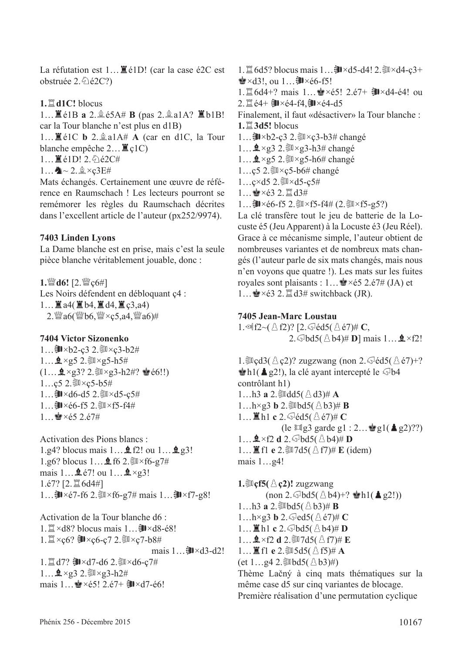La réfutation est  $1...$   $\mathbb{E}$  é1D! (car la case é2C est obstruée  $2.\text{\textdegree$\&2}$ é $2C$ ?)

#### **1.**t**d1C!** blocus

1... **E** é1B a 2. **@** é5A# **B** (pas 2. **@** a1A? **E** b1B! car la Tour blanche n'est plus en d1B)

1...  $\mathbb{E}$ é1C **b** 2.  $\triangleq$ a1A# **A** (car en d1C, la Tour blanche empêche  $2... \mathbb{E}$  ç1C)

 $1 \dots \n\mathbb{E} \neq 1$ D!  $2 \n\mathbb{E} \neq 2C \n\mathbb{E}$ 

 $1...$   $2.2 \times c3E#$ 

Mats échangés. Certainement une œuvre de référence en Raumschach ! Les lecteurs pourront se remémorer les règles du Raumschach décrites dans l'excellent article de l'auteur (px252/9974).

#### **7403 Linden Lyons**

La Dame blanche est en prise, mais c'est la seule pièce blanche véritablement jouable, donc :

1. 曾d6! [2. 曾c6#] Les Noirs défendent en débloquant ç4 : 1... $\Xi$  a4( $\Xi$  b4, $\Xi$  d4, $\Xi$  c3,a4)  $2.$   $\%$  a6( $\%$ b6,  $\%$   $\times$  c5, a4,  $\%$  a6)#

#### **7404 Victor Sizonenko**

1... **③**×b2-ç3 2. ③×ç3-b2#  $1...$  $2 \times g5$  2. ③ $\times g5-h5#$  $(1...$   $2 \times g3$ ? 2.  $N \times g3-h2$ #?  $e60!!$ 1...c5 2. ③×c5-b5# 1... **訓**×d6-d5 2. ③×d5-c5#  $1...$  コンé6-f5 2. コンf5-f4#  $1 \div x 65 2.67#$ 

Activation des Pions blancs : 1.g4? blocus mais  $1 \dots \triangle 12!$  ou  $1 \dots \triangle 12!$ 1.g6? blocus 1... $\bullet$  f6 2. $N\times$  f6-g7# mais  $1...$   $2e^{7!}$  ou  $1...$   $2 \times g3!$  $1.$ é $7$ ? [2. $16$ d4#] 1…訓×é7-f6 2. ③×f6-g7# mais 1…訓×f7-g8!

Activation de la Tour blanche d6 :  $1. \mathbb{Z} \times d8$ ? blocus mais  $1 \dots$  郭 $\times d8$ -é8! 1. a×ç6? ヨ×ç6-ç7 2. コ×ç7-b8# mais  $1 \dots \exists x \times d3 - d2!$ 1.  $\mathbb{Z}$  d7? ③ × d7-d6 2.③ × d6-c7#  $1...$   $2 \times g3$  2. ③ $\times g3-h2#$ mais 1…R×é5! 2.é7+ U×d7-é6!

1.  $\mathbb{Z}$  6d5? blocus mais 1...  $\mathbb{I}\times$ d5-d4! 2. $\mathbb{I}\times$ d4-ç3+  $\triangleq \times d3!$ , ou  $1...$  U $\times$ é6-f5! 1.  $\sharp$  6d4+? mais 1… <  $\times$ é5! 2.é7+ ヨ $\times$ d4-é4! ou 2. 直é4+ ヨ×é4-f4, ヨ×é4-d5 Finalement, il faut «désactiver» la Tour blanche : **1.** $\ddot{\Xi}$  **3d5!** blocus 1... **訓**×b2-ç3 2. ③×ç3-b3# changé  $1...$  $2 \times g3$  2. ③  $\times g3$ -h3# changé 1… $\mathbf{2} \times$ g5 2. $\mathbf{2} \times$ g5-h6# changé 1…ç5 2. $\sqrt{25}$ ×ç5-b6# changé  $1 \ldots$ ç×d5 2. $M \times d5 - c5$ #  $1...$  $\bullet$ ×é3 2. $\mathbb{Z}$ d3#

1…U×é6-f5 2.uv×f5-f4# (2.uv×f5-g5?)

La clé transfère tout le jeu de batterie de la Locuste é5 (Jeu Apparent) à la Locuste é3 (Jeu Réel). Grace à ce mécanisme simple, l'auteur obtient de nombreuses variantes et de nombreux mats changés (l'auteur parle de six mats changés, mais nous n'en voyons que quatre !). Les mats sur les fuites royales sont plaisants :  $1... \triangle 2.67# (JA)$  et  $1...$  $\bullet$  × é3 2.  $\mathbb{Z}$  d3# switchback (JR).

#### **7405 Jean-Marc Loustau**

1.  $\mathbb{R}$   $f2$   $\sim$   $(\triangle f2)$ ? [2.  $\triangle$   $\acute{e}d5$   $(\triangle \acute{e}7)$ # **C**, 2.  $\text{abd5}(\triangle \text{b4})$ # **D**] mais 1...  $\triangle \times$ f2!

1. $\text{Re}d3(\triangle c2)$ ? zugzwang (non 2. $\text{Im}d5(\triangle c7)+$ ?  $\dot{\bullet}$ h1( $\triangle$  g2!), la clé ayant intercepté le  $\circledcirc$ b4 contrôlant h1)  $1...h3$  **a**  $2.\overline{\otimes}$  dd5( $\triangle$  d3)# **A**  $1...h \times g3$  **b** 2. $\overline{\otimes}$ bd5( $\triangle$ b3)# **B** 1...  $\mathbb{Z}$  h1 **c** 2.  $\Im$  éd5( $\triangle$  é7)# **C** (le  $\Box$ g3 garde g1 : 2...  $\bigcirc$ g1( $\triangle$  g2)??)  $1 \dots$ **4** × f2 **d** 2.  $\circ$ bd5( $\circ$ b4)# **D** 1...  $\mathbb{E}$  f1 **e** 2. $\mathbb{I}$ 7d5( $\triangle$  f7)# **E** (idem) mais 1…g4!

**1.** $\mathbb{E}$ **cf5**( $\triangle$ **c2)!** zugzwang  $(\text{non } 2 \text{.} \text{abd5}(\text{a} \text{b4})+? \cong \text{h1}(\triangleq \text{g2}!)$ 1...h3 **a** 2. Wbd5( $\triangle$ b3)# **B**  $1...h \times g3$  **b** 2.  $\text{Q}$ ed5( $\triangle$ é7)# **C**  $1...$  $\mathbb{Z}$  h1 **c** 2.  $\mathbb{Q}$  bd5( $\mathbb{\triangle}$  b4)# **D**  $1...$  $2 \times f2$  **d**  $2.$   $3 \times 7d5$ ( $3. f7$ )# **E**  $1...$  **if**  $f1$  **e**  $2.$   $35d5($   $\triangle$   $f5)$   $#$  **A** (et  $1...g4$  2. Wbd5( $\triangle b3$ )#) Thème Lačný à cinq mats thématiques sur la même case d5 sur cinq variantes de blocage. Première réalisation d'une permutation cyclique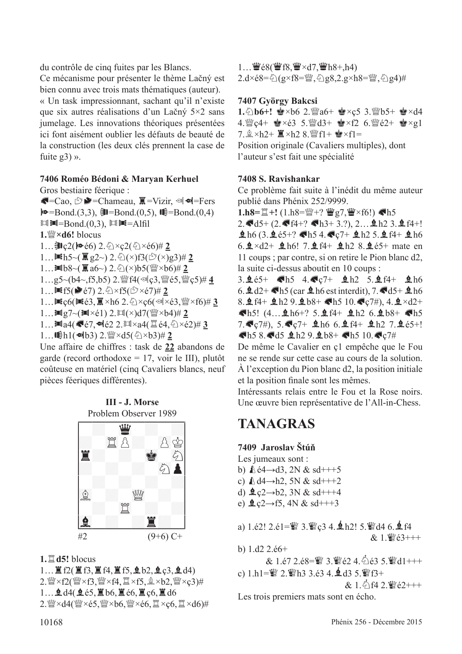du contrôle de cinq fuites par les Blancs. Ce mécanisme pour présenter le thème Lačný est bien connu avec trois mats thématiques (auteur). « Un task impressionnant, sachant qu'il n'existe que six autres réalisations d'un Lačný 5×2 sans jumelage. Les innovations théoriques présentées ici font aisément oublier les défauts de beauté de la construction (les deux clés prennent la case de fuite  $g3)$  ».

#### **7406 Roméo Bédoni & Maryan Kerhuel**

Gros bestiaire féerique :  $\blacksquare = \text{Cao}, \bigcirc \blacksquare = \text{Chameau}, \square \blacksquare = \text{Vizir}, \bigcirc \blacksquare \blacksquare = \text{Fers}$  $\blacktriangleright \blacktriangleright = Bond(3,3), \blacktriangleright \blacktriangleright = Bond(0,5), \blacktriangleright \blacktriangleright = Bond(0,4)$  $\mathbb{H}$ =Bond.(0,3),  $\mathbb{H}$  $\mathbb{H}$ =Alfil **1.**de**×d6!** blocus 1…**訓ç2(№** é6) 2. ①×ç2(②×é6)# 2 1... $\blacksquare$ h5~( $\bar{R}$ g2~) 2. ①(×)f3( $\mathfrak{S}(\mathfrak{S}(x)$ g3)# 2  $1...$ **I**b8~( $\bar{a}$ a6~) 2. $\hat{\odot}$ (×)b5( $\hat{w}$ ×b6)# 2 1…g5~(b4~,f5,b5) 2. 瞥f4(·ac3, 瞥é5, 瞥c5)# 4 1... $\blacksquare$ f5( $\blacktriangleright$ é7) 2.  $\Diamond$ ×f5( $\Im$ ×é7)# 2 1…Zç6(Zé3,O×h6 2.c×ç6(l×é3,de×f6)# **3** 1... $\ln g7 \sim (Im \times 61) 2$ . $Im(\times) d7$ ( $\frac{W}{W} \times b4$ )# 2  $1...$  $1.4$  $(4.67, 4.62 2.$  $1.44$  $(1.64, 6.2)$  $(2.43, 3.4)$  $1...$ **Gh1(** $\Phi$ kb3) 2.  $\mathbb{W} \times d5(\text{A} \times b3)$ # 2

Une affaire de chiffres : task de **22** abandons de garde (record orthodoxe = 17, voir le III), plutôt coûteuse en matériel (cinq Cavaliers blancs, neuf pièces féeriques différentes).

**III - J. Morse**



**1.**t**d5!** blocus

 $1...$  $R2($  $R3,$  $R4,$  $R5,$  $R5,$  $R5,$  $R2,$  $R3,$  $R4)$  $2.$ @ $\times$ f2(@ $\times$ f3,@ $\times$ f4, $\cong$  $\times$ f5,  $\circledast \times$ b2, @ $\times$ ç3)# 1...  $\mathbf{\underline{d}}$  d4( $\mathbf{\underline{d}}$ é5, $\mathbf{\underline{d}}$  b6, $\mathbf{\underline{d}}$ é6, $\mathbf{\underline{d}}$  c6, $\mathbf{\underline{d}}$  d6  $2.$ @ $\times$ d4(@ $\times$ é5,@ $\times$ b6,@ $\times$ é6, $\cong \times$ ç6, $\cong \times$ d6)#

1...  $\mathbf{W}$ é8( $\mathbf{W}$ f8,  $\mathbf{W} \times d7$ ,  $\mathbf{W}$ h8+,h4) 2.d×é8=乞(g×f8=蟹,乞g8,2.g×h8=蟹,乞g4)#

### **7407 György Bakcsi**

1. 2b6+!  $\bullet \times$ b6 2.  $\bullet$ a6+  $\bullet \times$ c5 3. *N*ot  $\bullet$   $\bullet$   $\times$ d4 4. $\mathbb{Q}$ ç4+  $\mathbb{Q} \times 63$  5. $\mathbb{Q}$ d3+  $\mathbb{Q} \times 62$  6. $\mathbb{Q}$ é2+  $\mathbb{Q} \times 91$  $7.2 \times h2+ 2 \times h2 + 8.$  [f] +  $\cdot \cdot$  xf] = Position originale (Cavaliers multiples), dont l'auteur s'est fait une spécialité

### **7408 S. Ravishankar**

Ce problème fait suite à l'inédit du même auteur publié dans Phénix 252/9999.

**1.h8=** $\mathbb{I}$ +! (1.h8= $\mathbb{W}$ +?  $\mathbb{W}$ g7, $\mathbb{W} \times$ f6!) <h5  $2.\blacktriangleleft d5+(2.\blacktriangleleft f4+? \blacktriangleleft h3+3.?)$ ,  $2... \triangleleft h2$  3.  $\triangleleft f4+!$  $h6$  (3.  $h6$  65+? Ch5 4. C<sub>7</sub>+  $h2$  5.  $h4 + h6$ 6.  $\pm$  ×d2+  $\pm$  h6! 7.  $\pm$  f4+  $\pm$  h2 8.  $\pm$  é5+ mate en 11 coups ; par contre, si on retire le Pion blanc d2, la suite ci-dessus aboutit en 10 coups : 3.  $\frac{65+}{5}$  Gh5 4.  $\frac{67+}{2}$  Rh2 5.  $\frac{6}{4}$  f4+  $\frac{6}{2}$  h6 6.  $\mathbf{\triangleleft} d2 + \mathbf{\triangleleft} h5$  (car  $\mathbf{\triangleleft} h6$  est interdit), 7.  $\mathbf{\triangleleft} d5 + \mathbf{\triangleleft} h6$ 8.  $f4 + 2h2$  9.  $2h8 + 15$  10.  $C7\#$ , 4.  $2 \times d2 +$  $\blacksquare$ h5! (4...  $\blacksquare$ h6+? 5. $\blacksquare$ f4+  $\blacksquare$ h2 6. $\blacksquare$ b8+  $\blacksquare$ h5  $7.$  $C7\#$ ,  $5.$  $C7+$   $L666.$   $L4+$   $L627.$   $L65+$ !  $\blacksquare$ h5 8. $\blacksquare$ d5  $\blacksquare$ h2 9. $\spadesuit$ b8+  $\blacksquare$ h5 10. $\clubsuit$ c7#

De même le Cavalier en ç1 empêche que le Fou ne se rende sur cette case au cours de la solution. À l'exception du Pion blanc d2, la position initiale et la position fnale sont les mêmes.

Intéressants relais entre le Fou et la Rose noirs. Une œuvre bien représentative de l'All-in-Chess.

# **TANAGRAS**

### **7409 Jaroslav Štúň**

Les jumeaux sont :

- b)  $\& 64 \rightarrow d3$ , 2N  $& sd$ +++5
- c)  $\triangle d4 \rightarrow h2$ , 5N & sd+++2
- d)  $2 \cosh 2$ , 3N & sd+++4
- e)  $\text{Q}$   $\downarrow$   $c2 \rightarrow 5$ ,  $4N \& sd$
- a)  $1.\dot{e}2!$   $2.\dot{e}1=\mathcal{Q}3$   $3.\mathcal{Q}3$   $4.\mathbf{\&}$  h2!  $5.\mathcal{Q}4$  6. $\mathbf{\&}$  f4 & 1.¶é3+++
- b) 1.d2 2.é6+

 $& 1.67$  2.68= $\mathcal{Q}$  3. $\mathcal{Q}$  62 4. $\mathcal{Q}$  63 5. $\mathcal{Q}$ d1+++ c)  $1.h1 = \frac{m}{2}$  2.  $\frac{m}{2}h3$  3.é3 4.  $\frac{1}{2}d3$  5.  $\frac{m}{2}f3+$ 

 $& 1.542$ . We  $& 2+++$ 

Les trois premiers mats sont en écho.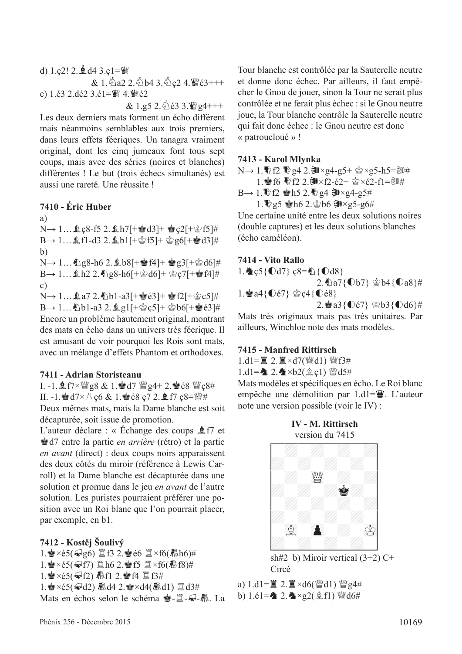d)  $1.$ ç2!  $2.$  $\triangleleft$  d4  $3.$ ç $1 =$  $\%$  $& 1.\overline{6}a22.\overline{6}b43.\overline{6}c24.\overline{w}63++$ e)  $1.63$   $2.$ dé2  $3.61 =$  $4.$  $4.$  $4.$  $62$  $& 1.95$  2.  $& 63$  3.  $& 94$ +++

Les deux derniers mats forment un écho différent mais néanmoins semblables aux trois premiers, dans leurs effets féeriques. Un tanagra vraiment original, dont les cinq jumeaux font tous sept coups, mais avec des séries (noires et blanches) différentes ! Le but (trois échecs simultanés) est aussi une rareté. Une réussite !

#### **7410 - Éric Huber**

a)  $N \rightarrow 1...$  Qc8-f5 2.  $\ln 7$ [+ $\ln 1$ d3]+  $\ln 2$ [+ $\ln 1$ f5]#  $B \rightarrow 1...$   $f1-d3$  2.  $b1$ [+ $c$ ] f5]+  $c$ ] g6[+ $d3$ ]# b)  $N \rightarrow 1...$   $2.8-h6$  2.  $8b8$ [+ $\bullet$ f4]+  $\bullet$ g3[+ $\circ$ gd6]#  $B \rightarrow 1...$  $h2$  2.  $h98-h6$ [+ $g$ ]d6]+  $g$ ]c7[+ $g$ ]f4]# c)  $N \rightarrow 1...$  $a7 2.$  b1-a3[+ $e$ 8 $e$ 3]+  $e$ 8 $f$ 2[+ $e$ °c5]#  $B \rightarrow 1...$  \ppdf-a3 2. \ppdf \ppdf \ppdf \ppdf \ppdf \ppdf \ppdf \ppdf \ppdf \ppdf \ppdf \ppdf \ppdf \ppdf \ppdf \ppdf \ppdf \ppdf \ppdf \ppdf \ppdf \ppdf \ppdf \ppdf \ppdf \ppdf \ppdf \ppdf \ppdf \ppdf \ppdf \ppdf \ppdf \p Encore un problème hautement original, montrant des mats en écho dans un univers très féerique. Il est amusant de voir pourquoi les Rois sont mats, avec un mélange d'effets Phantom et orthodoxes.

#### **7411 - Adrian Storisteanu**

I. -1.  $1.7 \times$  g8 & 1. ed7  $\frac{100}{24}$ g4+ 2. e é8  $\frac{100}{26}$ ç8# II. -1.  $\mathbf{M} = 1.8 \times 10^{-4}$  code  $\mathbf{M} = 1.88 \times 10^{-4}$ Deux mêmes mats, mais la Dame blanche est soit

décapturée, soit issue de promotion. L'auteur déclare : « Échange des coups  $\triangle$  f7 et Rd7 entre la partie *en arrière* (rétro) et la partie *en avant* (direct) : deux coups noirs apparaissent des deux côtés du miroir (référence à Lewis Carroll) et la Dame blanche est décapturée dans une solution et promue dans le jeu *en avant* de l'autre solution. Les puristes pourraient préférer une position avec un Roi blanc que l'on pourrait placer, par exemple, en b1.

**7412 - Kostěj Šoulivý**

1. $\cdot$ e ×é5( $\cdot$ g6)  $\mathbb{Z}$ f3 2. $\cdot$ e é6  $\mathbb{Z}$ ×f6( $\mathbb{R}$ h6)# 1. $\cdot$ e ×é5( $\cdot$ F7)  $\mathbb{Z}$  h6 2. $\cdot$ e f5  $\mathbb{Z}$ ×f6( $\mathbb{R}$ f8)# 1.R×é5(f2) µf1 2.Rf4 tf3# 1. $\mathbf{R} \times 65$ ( $\mathbf{Q}$ d2)  $\mathbf{R}$ d4 2. $\mathbf{Q} \times 24$ ( $\mathbf{R}$ d1)  $\mathbf{Q}$ d3# Mats en échos selon le schéma **含-**二一一

Tour blanche est contrôlée par la Sauterelle neutre et donne donc échec. Par ailleurs, il faut empêcher le Gnou de jouer, sinon la Tour ne serait plus contrôlée et ne ferait plus échec : si le Gnou neutre joue, la Tour blanche contrôle la Sauterelle neutre qui fait donc échec : le Gnou neutre est donc « patroucloué » !

#### **7413 - Karol Mlynka**

N→ 1. <sup>1</sup>0f2 <sup>1</sup> g4 2. **J** × g4-g5+ 含×g5-h5=③# 1. f6 <sup>1</sup>2 2. 让×f2-é2+ 含×é2-f1=瓠#

 $B \rightarrow 1$ .  $D$ f2 會h5 2. $Q$ g4 訓×g4-g5#

1.  $\%$ g5  $\bullet$ h6 2. $\bullet$ b6  $\frac{3}{2} \times$ g5-g6#

Une certaine unité entre les deux solutions noires (double captures) et les deux solutions blanches (écho caméléon).

#### **7414 - Vito Rallo**

1.  $c5{0d7}$   $c8=2$ {  $0d8$ }  $2.\bigtriangleup a7\{\bigcirc\}$   $\circledcirc$  b4{ $\bigcirc$  a8}# 1. $a4\{\nabla\acute{e}7\}$   $c4\{\nabla\acute{e}8\}$ 2. a3{ $Qe7$ } \$b3{ $Qd6$ }#

Mats très originaux mais pas très unitaires. Par ailleurs, Winchloe note des mats modèles.

#### **7415 - Manfred Rittirsch**

1.d1= $\angle 2. \angle 3 \times d7$ (\{\end{math}{d1}} \{\end{math}\$f3#

1.d1= $2.4 \times b2(2c1)$  @d5#

Mats modèles et spécifques en écho. Le Roi blanc empêche une démolition par  $1. d1 = \ddot{w}$ . L'auteur note une version possible (voir le IV) :





sh#2 b) Miroir vertical  $(3+2)$  C+ Circé

a)  $1. d1 = \mathbb{Z} \cdot 2. \mathbb{Z} \times d6$  ( $\mathbb{W} d1$ )  $\mathbb{W} g4#$ b)  $1.\dot{e}1 = \Delta 2.\Delta \times g2(\hat{g}f1)$   $\dddot{g}d6\#$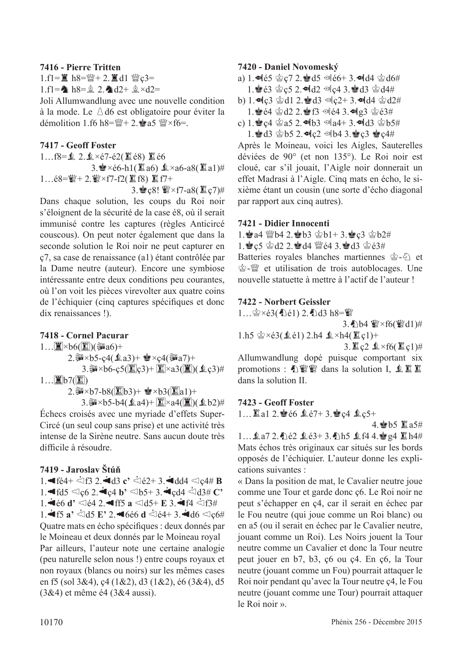#### **7416 - Pierre Tritten**

 $1.f1 = \n\mathbf{I}$  h8= $\mathbf{W} + 2.\mathbf{I}$ d1  $\mathbf{W}$ c3=

1.f1= $\triangle$  h8= $\hat{p}$  2. $\triangleleft$ d2+  $\hat{p} \times d2=$ 

Joli Allumwandlung avec une nouvelle condition à la mode. Le  $\triangle$  d6 est obligatoire pour éviter la démolition 1.f6 h8= $\frac{wr}{d}$  + 2. $\frac{dr}{d}$  a5  $\frac{wr}{d}$  × f6=.

#### **7417 - Geoff Foster**

1…f8= $\Omega$ ,  $2.\& \times 67 - 62($   $\angle$  68)  $\angle$  66  $3.\bullet \times 66-h1(2a) \& \times a6-a8(2a1)$ # 1…é8= $\mathcal{W}$ + 2. $\mathcal{W} \times f$ 7-f2( $\mathbb{Z}$ f8)  $\mathbb{Z}$ f7+

3. 
$$
\bullet
$$
 c8!  $\mathbb{W} \times$  f7-a8( $\mathbb{E}$  c7) $\#$ 

Dans chaque solution, les coups du Roi noir s'éloignent de la sécurité de la case é8, où il serait immunisé contre les captures (règles Anticircé couscous). On peut noter également que dans la seconde solution le Roi noir ne peut capturer en ç7, sa case de renaissance (a1) étant contrôlée par la Dame neutre (auteur). Encore une symbiose intéressante entre deux conditions peu courantes, où l'on voit les pièces virevolter aux quatre coins de l'échiquier (cinq captures spécifques et donc dix renaissances !).

### **7418 - Cornel Pacurar**

 $1...\square$ ×b6( $\square$ )(③a6)+

2.  $x \times b5 - c4(2a3) + C \times c4(3a7) +$ 

3. $\mathbf{3.34} \times b6 - c5(\mathbf{2c3}) + \mathbf{3 \times 3(\mathbf{2)(\mathbf{4c3})^+}$  $1$ … $\boxed{2}$ b7( $\boxed{2}$ )

2. $\mathbf{W} \times b7 - b8(\mathbb{Z}b3) + \mathbf{W} \times b3(\mathbb{Z}a1) +$ 

3.  $\mathbb{R} \times 5 - 54$ ( $\mathbb{Q}$ a4) +  $\boxed{\mathbb{Z}} \times 24$ ( $\boxed{\mathbb{Z}}$ )( $\mathbb{Q}$ b2) # Échecs croisés avec une myriade d'effets Super-Circé (un seul coup sans prise) et une activité très intense de la Sirène neutre. Sans aucun doute très difficile à résoudre.

### **7419 - Jaroslav Štúň**

1. **4** fé4+  $\stackrel{.}{\leq}$  f3 2. **4** d3 **c**'  $\stackrel{.}{\leq}$  é2+ 3. **4** dd4  $\leq$   $\stackrel{.}{\leq}$  e4# **B**  $1.$  $\blacktriangleleft$   $f \, d5 \triangleleft 0$   $c6$   $2.$   $\blacktriangleleft$   $c4$   $b'$   $\triangleleft$   $b5+$   $3.$   $\blacktriangleleft$   $c4$   $\triangleleft$   $d3#$   $C'$ 1.  $\dot{=}$ **66 d'**  $\triangleleft$   $64$  2.  $\bullet$  ff5 **a**  $\triangleleft$ d5+ **E** 3.  $\dot{=}$  f4  $\triangleleft$ f3#  $1.4$ f5 **a**<sup>2</sup>  $\leq$   $165$  **E**<sup>2</sup> 2.46é6 **d**  $\leq$   $64+3.4$ d6  $\leq$   $166$ Quatre mats en écho spécifques : deux donnés par le Moineau et deux donnés par le Moineau royal Par ailleurs, l'auteur note une certaine analogie (peu naturelle selon nous !) entre coups royaux et non royaux (blancs ou noirs) sur les mêmes cases en f5 (sol 3&4), ç4 (1&2), d3 (1&2), é6 (3&4), d5 (3&4) et même é4 (3&4 aussi).

#### **7420 - Daniel Novomeský**

- a) 1.  $\blacktriangleleft$   $65 \, \triangleleft$   $c$  7 2.  $\blacktriangleleft$  d5  $\triangleleft$   $66+$  3.  $\blacktriangleleft$  d4  $\triangleleft$   $66#$ 1. e3  $\circ$  c5 2. odd2 odc4 3. ed3  $\circ$  d4#
- b) 1.  $\log 3$   $\approx$  d1 2.  $\approx$  d3  $\approx$  c2+ 3.  $\approx$  d4  $\approx$  d2#
- $1.$  $4.64$   $2.02$ .  $4.5$   $1.4$   $1.9$
- c) 1.Rç4 ra5 2.Lb3 la4+ 3.Ld3 rb5#  $1.\n$ gd $3 \oplus b5$  2.  $\blacksquare$ c $2 \oplus b4$  3. $\spadesuit$ c $3 \oplus c4$ #

Après le Moineau, voici les Aigles, Sauterelles déviées de 90° (et non 135°). Le Roi noir est cloué, car s'il jouait, l'Aigle noir donnerait un effet Madrasi à l'Aigle. Cinq mats en écho, le sixième étant un cousin (une sorte d'écho diagonal par rapport aux cinq autres).

#### **7421 - Didier Innocenti**

- 1.  $a4 \leq b4$  2.  $b3 \leq b1+ 3$ .  $c3 \leq b2 \neq 0$
- 1. ec5  $\otimes$  d2 2. ed4  $\leq$  e4 3. ed3  $\otimes$  e3#

Batteries royales blanches martiennes  $\hat{\mathcal{L}}$ - $\hat{\mathcal{L}}$  et **含-** ( et utilisation de trois autoblocages. Une nouvelle statuette à mettre à l'actif de l'auteur !

#### **7422 - Norbert Geissler**

1… $\circledast \times \circ 3(4) \circ 1$  2.4 d3 h8= $\circledast$ 3.  $b4 \le x$  f6( $c \le d1$ )#  $1.h5 \circledcirc \times 63(1.61) 2.h4 \circledast \times h4(1.61) +$  $3.$   $2 \le x \le 6$ ( $2 \le c1$ )# Allumwandlung dopé puisque comportant six

promotions : 心響響 dans la solution I, 鱼里里 dans la solution II.

#### **7423 - Geoff Foster**

1…  $1$ a1 2. $66$   $67+3.$ ec4  $6c5+$ 

4. h5 直a5#

1...  $2a72.$  hé2  $2e3+3.$  h5  $2f44.$ eg4  $2h4#$ Mats échos très originaux car situés sur les bords opposés de l'échiquier. L'auteur donne les explications suivantes :

« Dans la position de mat, le Cavalier neutre joue comme une Tour et garde donc ç6. Le Roi noir ne peut s'échapper en ç4, car il serait en échec par le Fou neutre (qui joue comme un Roi blanc) ou en a5 (ou il serait en échec par le Cavalier neutre, jouant comme un Roi). Les Noirs jouent la Tour neutre comme un Cavalier et donc la Tour neutre peut jouer en b7, b3, ç6 ou ç4. En ç6, la Tour neutre (jouant comme un Fou) pourrait attaquer le Roi noir pendant qu'avec la Tour neutre ç4, le Fou neutre (jouant comme une Tour) pourrait attaquer le Roi noir ».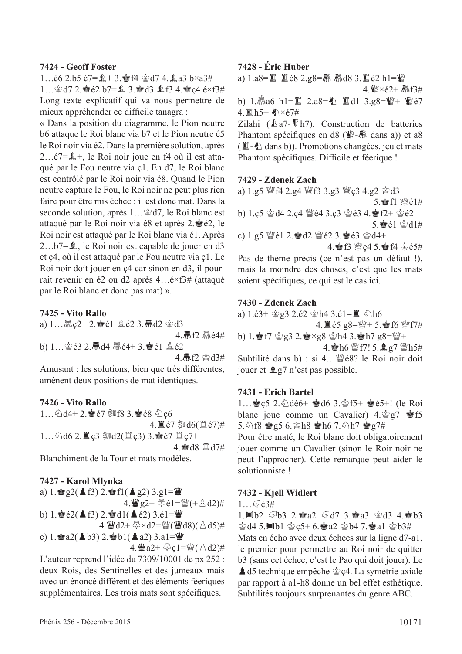#### **7424 - Geoff Foster**

1... $\acute{e}6$  2.b5  $\acute{e}7 = \acute{2} + 3$ .  $\acute{e}$  f4  $\acute{e}$  d7 4. $\acute{2}$  a3 b×a3# 1...  $\cong$  d7 2. $\cong$  e2 b7= $\&$  3. $\cong$  d3  $\&$  f3 4. $\cong$  c4 e×f3# Long texte explicatif qui va nous permettre de mieux appréhender ce diffcile tanagra :

« Dans la position du diagramme, le Pion neutre b6 attaque le Roi blanc via b7 et le Pion neutre é5 le Roi noir via é2. Dans la première solution, après 2…é7=Ä+, le Roi noir joue en f4 où il est attaqué par le Fou neutre via ç1. En d7, le Roi blanc est contrôlé par le Roi noir via é8. Quand le Pion neutre capture le Fou, le Roi noir ne peut plus rien faire pour être mis échec : il est donc mat. Dans la seconde solution, après  $1...\triangleleft d7$ , le Roi blanc est attaqué par le Roi noir via é8 et après  $2.\bullet$ é2, le Roi noir est attaqué par le Roi blanc via é1. Après 2…b7=Ä, le Roi noir est capable de jouer en d3 et ç4, où il est attaqué par le Fou neutre via ç1. Le Roi noir doit jouer en ç4 car sinon en d3, il pourrait revenir en é2 ou d2 après 4…é×f3# (attaqué par le Roi blanc et donc pas mat) ».

#### **7425 - Vito Rallo**

a)  $1...$   $\frac{1}{2}$  e2 + 2.  $\frac{1}{2}$  e1  $\frac{1}{2}$  e2 3.  $\frac{1}{2}$  d2  $\frac{1}{2}$  d3

4 氚f2 *赢é4#* 

b)  $1...$ 含 $63$   $2.\overline{4}$   $d4$   $\overline{4}$  $64+3.\overline{4}$   $61$   $2.\overline{6}$   $2$ 

4. M  $f2 \cong d3#$ 

Amusant : les solutions, bien que très différentes, amènent deux positions de mat identiques.

#### **7426 - Vito Rallo**

 $1...6$  d4+ 2.  $\bullet$  e7  $\overline{\circ}$  f8 3.  $\bullet$  e8  $6$  c6 4. le7 @d6(置é7)#  $1...$  公d6 2. 直ç3 ③d2(置ç3) 3. 含é7 罝ç7+ 4 **s**od8 Hd7#

Blanchiment de la Tour et mats modèles.

#### **7427 - Karol Mlynka**

a) 1. 
$$
\begin{aligned}\n\mathbf{a)} \mathbf{1.} \mathbf{e} \cdot \mathbf{g} &2(\triangle \mathbf{f3}) \mathbf{2.} \mathbf{e} \cdot \mathbf{f1}(\triangle \mathbf{g2}) \mathbf{3.} \mathbf{g1} = \mathbf{w} \\
&4. \mathbf{w} \mathbf{g2} + \mathbf{g} \cdot \mathbf{e1} = \mathbf{w} \cdot (\triangle \mathbf{d2})\n\end{aligned}
$$
\nb) 1. 
$$
\mathbf{e} \cdot \mathbf{e2}(\triangle \mathbf{f3}) \mathbf{2.} \mathbf{e} \cdot \mathbf{d1}(\triangle \mathbf{e2}) \mathbf{3.} \mathbf{e1} = \mathbf{w} \\
\mathbf{4.} \mathbf{w} \cdot \mathbf{d2} + \mathbf{g} \times \mathbf{d2} = \mathbf{w} \cdot (\mathbf{w} \cdot \mathbf{d8}) (\triangle \mathbf{d5})\n\end{aligned}
$$
\nc) 1. 
$$
\mathbf{e} \cdot \mathbf{a2}(\triangle \mathbf{b3}) \mathbf{2.} \mathbf{e} \cdot \mathbf{b1}(\triangle \mathbf{a2}) \mathbf{3.} \mathbf{a1} = \mathbf{w} \\
\mathbf{4.} \mathbf{w} \cdot \mathbf{a2} + \mathbf{g} \cdot \mathbf{c1} = \mathbf{w} \cdot (\triangle \mathbf{d2})\n\end{aligned}
$$

L'auteur reprend l'idée du 7309/10001 de px 252 : deux Rois, des Sentinelles et des jumeaux mais avec un énoncé différent et des éléments féeriques supplémentaires. Les trois mats sont spécifques.

#### **7428 - Éric Huber**

a)  $1. a8 = \mathbb{Z}$   $\mathbb{Z}$  é8  $2. g8 = \mathbb{R}$   $\mathbb{R}$ d8 3. $\mathbb{Z}$  é2 h1= $\mathbb{Z}$ 4. Y ×é2+ 赢f3#

b) 1. $\frac{1}{300}$ a6 h1= $\frac{12}{20}$  2.a8= $\frac{12}{20}$   $\frac{12}{20}$  d1 3.g8= $\frac{12}{20}$  +  $\frac{12}{20}$  e7  $4.$  置h5+ 小×é7#

Zilahi ( $\&$ a7- $\nabla$ h7). Construction de batteries Phantom spécifiques en d8 ( $\ddot{\mathbf{\mathcal{E}}}$ - $\mathbb{\bar{M}}$  dans a)) et a8  $(\mathbb{Z}-\mathbb{Z})$  dans b)). Promotions changées, jeu et mats Phantom spécifiques. Difficile et féerique !

#### **7429 - Zdenek Zach**

a) 1.g5 @f4 2.g4 @f3 3.g3 @c3 4.g2 @d3 5 會f1 營é1# b) 1.ç5  $\circledast$ d4 2.ç4  $\circledast$ é4 3.ç3  $\circledast$ é3 4. $\circledast$ f2+  $\circledast$ é2  $5.$ e $e1$   $\otimes$ d $1#$ c)  $1.95 \, \frac{\text{m}}{2} \in 12.8 \, \text{d}2 \, \frac{\text{m}}{2} \in 2.3.8 \, \text{d}3 \, \text{d}4+$ 4. f3 @c4 5. f4 \$e5#

Pas de thème précis (ce n'est pas un défaut !), mais la moindre des choses, c'est que les mats soient spécifques, ce qui est le cas ici.

#### **7430 - Zdenek Zach**

a) 1.é3+  $\dot{\text{g}}$ g3 2.é2  $\dot{\text{g}}$ h4 3.é1= $\ddot{\text{g}}$   $\ddot{\text{o}}$ h6 4.  $\mathbf{E}$  é5 g8= $\mathbf{W}$ + 5. $\mathbf{F}$ 6  $\mathbf{W}$ f7#

b) 1.  $F7 \circ g3 2.2 \circ xg8 \circ h4 3.$  $h7 g8 = \frac{m}{2} +$ 4. h6  $\mathbb{W}$  f7! 5.  $\mathbf{Q}$  g7  $\mathbb{W}$ h5#

Subtilité dans b) : si 4…deé8? le Roi noir doit jouer et  $\angle q$ g7 n'est pas possible.

#### **7431 - Erich Bartel**

1...  $\leq c$ 5 2. Adé6+  $\leq$ d6 3.  $\leq$ f5+  $\leq$ e5+! (le Roi blanc joue comme un Cavalier)  $4.\frac{\text{d}}{8}g7 \cong 55$ 5.  $\circ$  f8  $\circ$  g5 6.  $\circ$  h8  $\circ$  h6 7.  $\circ$  h7  $\circ$  g7#

Pour être maté, le Roi blanc doit obligatoirement jouer comme un Cavalier (sinon le Roir noir ne peut l'approcher). Cette remarque peut aider le solutionniste !

#### **7432 - Kjell Widlert**

 $1 \sqrt{63}$ #

1.  $\blacksquare$ b2  $\bigcirc$ b3 2. $\blacksquare$ a2  $\bigcirc$ d7 3. $\blacksquare$ a3  $\bigcirc$ d3 4. $\blacksquare$ b3  $\dot{\text{G}}$ d4 5.Wb1  $\dot{\text{G}}$ c5+ 6. $\dot{\text{G}}$ a2  $\dot{\text{G}}$ b4 7. $\dot{\text{G}}$ a1  $\dot{\text{G}}$ b3# Mats en écho avec deux échecs sur la ligne d7-a1, le premier pour permettre au Roi noir de quitter b3 (sans cet échec, c'est le Pao qui doit jouer). Le  $\triangle$  d5 technique empêche  $\triangle$  c4. La symétrie axiale par rapport à a1-h8 donne un bel effet esthétique. Subtilités toujours surprenantes du genre ABC.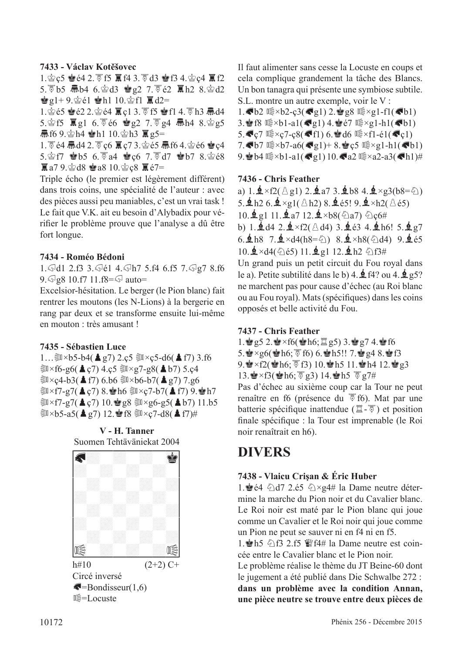#### **7433 - Václav Kotěšovec**

1. 宫c5 曾é4 2. 贾f5 耳f4 3. 贾d3 曾f3 4. 宫c4 耳f2 5.  $\overline{5}$  b5  $\overline{m}$  b4 6.  $\circledcirc$  d3  $\circledcirc$  e2 7.  $\overline{6}$  e2  $\overline{m}$  h2 8.  $\circledcirc$  d2  $\mathbf{e}_2$ 1+9. $\mathbf{e}_1$   $\mathbf{e}_2$ 1  $\mathbf{e}_1$  10. $\mathbf{e}_2$ f1  $\mathbf{E}_1$  d2=

1. 含é5 含é2 2. 含é4 耳ç1 3. 可f5 含f1 4. 可h3 氚d4 5. $\circ$ f5  $\overline{5}$  g1 6. $\overline{5}$ é6  $\circ$ g2 7. $\overline{5}$  g4  $\overline{m}$ h4 8. $\circ$ g5 **氚f6 9.含h4 會h1 10.含h3** g5=

1. 5 é4 氚d4 2. 5 c6 冨c7 3. 含é5 氚f6 4. 含é6 含c4 5. § 17 \$ b5 6. F a4 \$ c6 7. F d7 \$ b7 8. § é8  $\overline{R}$  a7 9. $\circledcirc$  d8  $\bullet$  a8 10. $\circledcirc$  c8  $\overline{R}$  é7=

Triple écho (le premier est légèrement différent) dans trois coins, une spécialité de l'auteur : avec des pièces aussi peu maniables, c'est un vrai task ! Le fait que V.K. ait eu besoin d'Alybadix pour vérifer le problème prouve que l'analyse a dû être fort longue.

#### **7434 - Roméo Bédoni**

1. Jd1 2.f3 3. Jé1 4. Jh7 5.f4 6.f5 7. Jg7 8.f6  $9.$   $\sqrt{9.8}$   $8$  10.f7 11.f8= $\sqrt{9}$  auto=

Excelsior-hésitation. Le berger (le Pion blanc) fait rentrer les moutons (les N-Lions) à la bergerie en rang par deux et se transforme ensuite lui-même en mouton : très amusant !

### **7435 - Sébastien Luce**

1… $\text{3.6}$  × b5-b4( $\text{4 g7}$ ) 2.ç5  $\text{3.6}$  × ç5-d6( $\text{4 f7}$ ) 3.f6  $\Im x$ f6-g6( $\triangle$ ç7) 4.ç5  $\Im x$ g7-g8( $\triangle$ b7) 5.ç4  $\Im x$ ç4-b3( $\triangle$  f7) 6.b6  $\Im x$ b6-b7( $\triangle$  g7) 7.g6  $\sin \times f$ 7-g7( $\triangle$ c7) 8. $\sinh 6 \sin \times c$ 7-b7( $\triangle$ f7) 9. $\sinh 7$  $\Im x$ f7-g7(▲ç7) 10. $\lg 8 \Im x$ g6-g5(▲b7) 11.b5  $\sin \theta$  ×b5-a5( $\triangle$  g7) 12. $\sin 8 \sin \theta$  ×c7-d8( $\triangle$  f7)#





Il faut alimenter sans cesse la Locuste en coups et cela complique grandement la tâche des Blancs. Un bon tanagra qui présente une symbiose subtile. S.L. montre un autre exemple, voir le V :

 $1.$  Gb2  $\mathbb{R} \times b2 - c3$ ( $g1$ ) 2.  $g8 \mathbb{R} \times g1 - f1$ ( $g51$ ) 3. F8  $\mathbb{S} \times \text{bl}$ -a1( $\mathbb{Q}$ g1) 4. Fe $\mathbb{S} \times \text{gl-h1}(\mathbb{Q}b1)$  $5.$ Gc7  $\mathbb{Q} \times c7 - c8$ (Sf1) 6. d6  $\mathbb{Q} \times f1 - e1$ (Sc1) 7. $\blacklozenge$ b7  $\mathbb{C} \times$ b7-a6( $\blacklozenge$ g1)+ 8. $\blacklozenge$ c5  $\mathbb{C} \times$ g1-h1( $\blacklozenge$ b1) 9. b4  $\mathbb{R} \times b1-a1$ ( $q \in (1) 10.$   $q \in (2 \times a2-a3)$ ( $q \in (h1)$ #

#### **7436 - Chris Feather**

a)  $1.\overline{2} \times f2(\triangle g1)$   $2.\overline{2} a7$   $3.\overline{2} b8$   $4.\overline{2} \times g3(b8=\triangle)$ 5.  $\mathbf{\underline{4}}$  h2 6.  $\mathbf{\underline{4}} \times$ g1( $\triangle$  h2) 8.  $\mathbf{\underline{4}}$  é5! 9.  $\mathbf{\underline{4}} \times$ h2( $\triangle$  é5)  $10.\,\mathrm{\AA{g1}}\,11.\,\mathrm{\AA{a7}}\,12.\,\mathrm{\AA{b8}}(\mathrm{\&a7})\,\mathrm{\&c6\#}$ b) 1. $\dot{2}d4$  2. $\dot{2} \times f2(\triangle d4)$  3. $\dot{2}63$  4. $\dot{2}h6!$  5. $\dot{2}g7$ 6.  $\pm$ h8 7.  $\pm \times$ d4(h8= $\Diamond$ ) 8.  $\pm \times$ h8( $\Diamond$ d4) 9.  $\pm$ é5

 $10.\overline{2} \times d4(\overline{6})$ é5) 11. $\overline{2}$ g1 12. $\overline{2}$ h2  $\overline{6}$ f3# Un grand puis un petit circuit du Fou royal dans le a). Petite subtilité dans le b) 4.  $\oint$  f4? ou 4.  $\oint$  g5? ne marchent pas pour cause d'échec (au Roi blanc ou au Fou royal). Mats (spécifques) dans les coins opposés et belle activité du Fou.

#### **7437 - Chris Feather**

1.  $g5$  2.  $g \times f6$ ( $h6$ ;  $\mathbb{Z}$  g5) 3.  $g7$  4.  $g$  f6

- $5.\blacktriangle \times$ g6( $\blacktriangle \uparrow$ h6; $\overline{\heartsuit}$ f6) 6. $\blacktriangle \uparrow$ h5!! 7. $\blacktriangle \downarrow$ g4 8. $\blacktriangle \uparrow$ f3
- 9.  $\times$  f2( $\times$ h6;  $\sqrt{5}$  f3) 10.  $\times$ h5 11.  $\times$ h4 12.  $\times$ g3

13. $\bullet \times$ f3( $\bullet$ h6;  $\overline{8}$  g3) 14. $\bullet$ h5  $\overline{8}$  g7#

Pas d'échec au sixième coup car la Tour ne peut renaître en f6 (présence du てf6). Mat par une batterie spécifique inattendue ( $\Xi$ - $\overline{\mathscr{F}}$ ) et position fnale spécifque : la Tour est imprenable (le Roi noir renaîtrait en h6).

# **DIVERS**

#### **7438 - Vlaicu Crişan & Éric Huber**

1.  $\bullet$  é4  $\odot$  d7 2.é5  $\odot \times$ g4# la Dame neutre détermine la marche du Pion noir et du Cavalier blanc. Le Roi noir est maté par le Pion blanc qui joue comme un Cavalier et le Roi noir qui joue comme un Pion ne peut se sauver ni en f4 ni en f5.

1. Ah5  $\triangle$  f3 2.f5  $\angle$  f4# la Dame neutre est coincée entre le Cavalier blanc et le Pion noir.

Le problème réalise le thème du JT Beine-60 dont le jugement a été publié dans Die Schwalbe 272 : **dans un problème avec la condition Annan, une pièce neutre se trouve entre deux pièces de**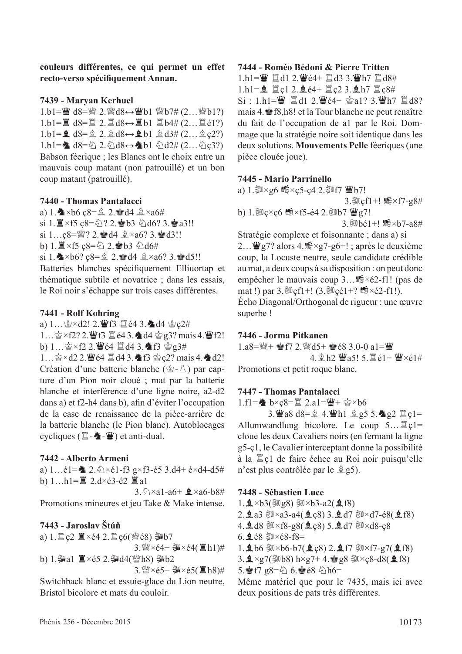**couleurs différentes, ce qui permet un effet recto-verso spécifquement Annan.**

#### **7439 - Maryan Kerhuel**

1.b1= $\ddot{w}$  d8= $\ddot{w}$  2. $\ddot{w}$ d8↔ $\ddot{w}$ b1  $\ddot{w}$ b7# (2... $\ddot{w}$ b1?)  $1.b1=\n\equiv d8=\n\equiv 2.\n\equiv d8 \leftrightarrow \n\equiv b1 \n\equiv b4\# (2\dots \n\equiv e1?)$  $1.b1=\mathbf{2} d8=\mathbf{2} 2.\mathbf{2} d8 \leftrightarrow \mathbf{2} b1 \mathbf{2} d3\# (2...\mathbf{2} c2?)$ 1.b1= $\triangle$  d8= $\triangle$  2. $\triangle$ d8↔ $\triangle$ b1  $\triangle$ d2# (2... $\triangle$ c3?) Babson féerique ; les Blancs ont le choix entre un mauvais coup matant (non patrouillé) et un bon coup matant (patrouillé).

#### **7440 - Thomas Pantalacci**

- a) 1.  $\triangle\times$ b6 ç8= $\hat{p}$  2.  $\triangleq$ d4  $\hat{p} \times$ a6#
- si 1. $\mathbb{Z} \times$ f5  $c8 = \bigcirc 2$ . ab3  $\bigcirc$ d6? 3. a3!!
- si  $1...c8=$   $2.4d4 \& 2.46$ ? 3. $d3!!$
- b) 1.  $\mathbb{Z} \times$  f5 c8= $\frac{2}{2}$  2.  $\mathbb{Z}$  b3  $\frac{2}{2}$  d6#
- si 1. $\triangle\times$ b6? ç8= $\angle$  2. de d4  $\angle\times$ a6? 3. de d5!!

Batteries blanches spécifquement Elliuortap et thématique subtile et novatrice ; dans les essais, le Roi noir s'échappe sur trois cases différentes.

#### **7441 - Rolf Kohring**

a)  $1...$  $2 \times d2!$  2. Fo  $d3$   $d4$   $d4$   $c2#$ 1... 含×f2? 2. 曹f3 罝é4 3. 4d4 含g3? mais 4. 曹f2! b)  $1...$  $2 \times 12$  2.  $4$   $64$   $1 \times 13$   $4$   $13$   $6$   $23#$ 1…含×d2 2. 曹é4 罝d4 3. ▲f3 含ç2? mais 4. ▲d2! Création d'une batterie blanche ( $\hat{\mathscr{Q}}$ - $\hat{\mathscr{Q}}$ ) par capture d'un Pion noir cloué ; mat par la batterie

blanche et interférence d'une ligne noire, a2-d2 dans a) et f2-h4 dans b), afn d'éviter l'occupation de la case de renaissance de la pièce-arrière de la batterie blanche (le Pion blanc). Autoblocages cycliques  $(\mathbb{Z}-\mathbb{Z}-\mathbb{Z})$  et anti-dual.

#### **7442 - Alberto Armeni**

a)  $1...$ é1= $2 \times 2 \times 1$ -f3 g×f3-é5 3.d4+ é×d4-d5# b)  $1...h1=\mathbb{Z}$  2.d×é3-é2  $\mathbb{Z}$  a1

3. $\sqrt{8} \times a1-a6+ 2 \times a6-b8$ # Promotions mineures et jeu Take & Make intense.

#### **7443 - Jaroslav Štúň**

a)  $1.1 \le c2 \le x \le 4$  2.  $1 \le c6$  ( $\le c8$ )  $\approx b7$ 

 $3.$  W  $\times$  é4+  $\frac{20}{3}$   $\times$  é4( $\frac{11}{3}$ h1)# b) 1. $\frac{20}{20}$ a1  $\frac{10}{20} \times 65$  2. $\frac{20}{20}$ d4( $\frac{100}{20}$ h8)  $\frac{20}{20}$ b2

 $3.$  (2)  $\times$  é5+ ③  $\times$  é5( 1) h(8) #

Switchback blanc et essuie-glace du Lion neutre, Bristol bicolore et mats du couloir.

#### **7444 - Roméo Bédoni & Pierre Tritten**

 $1.h1 = \frac{w}{2}$   $d1$  2.  $\frac{w}{2}$   $e4 + \frac{w}{2}$   $d3$  3.  $\frac{w}{2}$   $h7$   $\frac{w}{2}$   $d8$ #  $1.h1 = 2$   $1 \text{ c}1 2.264 + 10 \text{ c}2 3.2 h7 10 \text{ c}84$  $Si: 1.h1 = \frac{m}{2}$   $\frac{m}{2}$  d1 2.  $\frac{m}{2}$  e4+  $\frac{m}{2}$  a1? 3.  $\frac{m}{2}$  h7  $\frac{m}{2}$  d8? mais 4.Rf8,h8! et la Tour blanche ne peut renaître du fait de l'occupation de a1 par le Roi. Dommage que la stratégie noire soit identique dans les deux solutions. **Mouvements Pelle** féeriques (une pièce clouée joue).

#### **7445 - Mario Parrinello**

a)  $1.\overline{\$} \times g6 \le x \cdot c5 - c4 \cdot 2.\overline{\$}$  f7  $\dddot{W}b7!$ 3.  $Cf1+!$   $R \times f7-28$ # b) 1.  $C \times C6$   $\mathbb{R} \times 15 - 64$  2.  $D \times T \cong 27!$ 3. Whé1+!  $\mathbb{R} \times b7$ -a8#

Stratégie complexe et foisonnante ; dans a) si 2...  $\mathbf{W}$ g7? alors 4. $\mathbf{F} \times$ g7-g6+! ; après le deuxième coup, la Locuste neutre, seule candidate crédible au mat, a deux coups à sa disposition : on peut donc empêcher le mauvais coup 3…嶠×é2-f1! (pas de mat !) par  $3.\overline{\$}Cf1+!$  ( $3.\overline{\$Cef1+?}$   $\overline{\$}\times\{2-f1!\}$ ). Écho Diagonal/Orthogonal de rigueur : une œuvre superbe !

#### **7446 - Jorma Pitkanen**

 $1. a8 = \frac{100}{4} + \frac{100}{2} + 72. \frac{100}{4} + \frac{100}{2} + \frac{100}{2} + \frac{100}{2} + \frac{100}{2} + \frac{100}{2} + \frac{100}{2} + \frac{100}{2} + \frac{100}{2} + \frac{100}{2} + \frac{100}{2} + \frac{100}{2} + \frac{100}{2} + \frac{100}{2} + \frac{100}{2} + \frac{100}{2} + \frac{100}{2} + \frac{100}{2} + \frac{100}{2} + \$ 4. 鱼h2 曹a5! 5. 置é1+ 曹×é1#

Promotions et petit roque blanc.

#### **7447 - Thomas Pantalacci**

1.f1= $\triangleleft$  b×c8= $\angle$  2.a1= $\angle$ +  $\triangleleft$ ×b6

3.  $\angle 3.2 \angle 18 = \angle 4.2 \angle 11.2$   $\angle 25.5.2$   $\angle 22.2 = c1$ Allumwandlung bicolore. Le coup  $5 \dots \mathbb{Z}$ cl= cloue les deux Cavaliers noirs (en fermant la ligne g5-ç1, le Cavalier interceptant donne la possibilité à la tç1 de faire échec au Roi noir puisqu'elle n'est plus contrôlée par le  $\hat{\mathbb{Q}}$  g5).

#### **7448 - Sébastien Luce**

1. $\mathbf{\underline{4}} \times b3$ (  $\mathbf{\overline{3}}(g8)$   $\mathbf{\overline{3}} \times b3$ -a2(  $\mathbf{\underline{4}}(f8)$ 

 $2.9a3 \approx xa3-a4(9c8)3.9d7 \approx xd7-68(9c8)$ 

- 4.  $d8 \ge xf8-g8$  ( $d\lll c8$ ) 5.  $d\lll d7 \ge xd8-c8$
- $6.9.68$   $\times$   $68.68$ -f8=

 $1.$ 皇b6 ③×b6-b7(皇c8) 2.皇f7 ③×f7-g7(皇f8)

 $3.\n **2** × g7(**30b8**) h×g7+ 4.\n **2** g8 **3** × g8-d8(**2** f8)$ 

 $5.$ er f7 g $8=\bigcirc 6.$ er  $6.8$   $\bigcirc$ h6=

Même matériel que pour le 7435, mais ici avec deux positions de pats très différentes.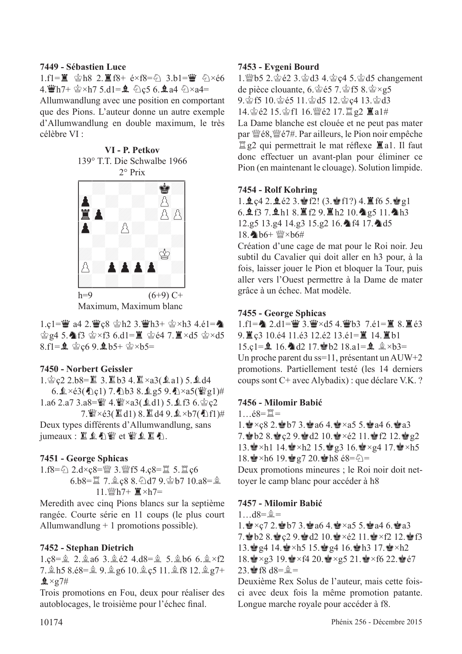#### **7449 - Sébastien Luce**

 $1.f1=\mathbb{Z}$  含h8 2.  $\mathbb{Z}$ f8+ é×f8= $\Diamond$  3.b1=曹  $\Diamond$ ×é6  $4.$  Wh7+  $\&$  ×h7 5.d1=  $\oint$   $\&$  c5 6.  $\oint$  a4  $\&$  ×a4=

Allumwandlung avec une position en comportant que des Pions. L'auteur donne un autre exemple d'Allumwandlung en double maximum, le très célèbre VI :



h=9  $(6+9)$  C+ Maximum, Maximum blanc

1.c1= $\ddot{w}$  a4 2. $\ddot{w}$ c8  $\dot{\otimes}$ h2 3. $\ddot{w}$ h3+  $\dot{\otimes}$ ×h3 4.é1= $\ddot{\bullet}$  $\dot{\mathcal{C}}$ g4 5. $\mathbf{\hat{A}}$ f3  $\dot{\mathcal{C}}$ ×f3 6.d1= $\ddot{\mathbf{I}}$   $\dot{\mathcal{C}}$ e4 7. $\ddot{\mathbf{I}}$ ×d5  $\dot{\mathcal{C}}$ ×d5 8.fl= $\hat{Q}$   $\circledcirc$  c6 9. $\hat{Q}$  b5+  $\circledcirc$  xb5=

#### **7450 - Norbert Geissler**

 $1.\n$ gc2 2.b8= $2.3.\n$ B $1.3.4.\n$  $\times$ a3( $2a1$ ) 5. $d4$  $6.2 \times 63$ (Le) 7.1b3 8.1g5 9.4  $\times a5$ ( $\mathbb{F}g1$ )# 1.a6 2.a7 3.a8= $\ddot{\mathbb{Y}}$  4. $\ddot{\mathbb{Y}} \times$ a3( $\dot{\mathbb{A}}$ d1) 5. $\dot{\mathbb{X}}$ f3 6. $\dot{\mathbb{Y}}$ c2

7.  $\mathscr{L} \times 63$  ( $\mathbb{Z}$ d1) 8.  $\mathbb{Z}$ d49.  $\mathbb{Q} \times b7$  ( $\mathbb{A}$ f1)# Deux types différents d'Allumwandlung, sans  $j$ umeaux :  $k \leq k$   $j \leq k$  et  $j \leq k$   $k \leq n$ .

#### **7451 - George Sphicas**

 $1.f8=\&$  2.d×ç8= $\mathbb{W}$  3. $\mathbb{W}$ f5 4.ç8= $\mathbb{Z}$  5. $\mathbb{Z}$ ç6 6.b8= $\angle$  7. $\angle$ c8 8. $\angle$ d7 9. $\angle$ b7 10.a8= $\angle$ 11.deh7+ T×h7=

Meredith avec cinq Pions blancs sur la septième rangée. Courte série en 11 coups (le plus court Allumwandlung + 1 promotions possible).

#### **7452 - Stephan Dietrich**

 $1.c8=\hat{2}$  2. $\hat{2}$  a6 3. $\hat{2}$  é2 4.d8= $\hat{2}$  5. $\hat{2}$  b6 6. $\hat{2} \times f2$  $7.2 h5 8.68 = 9.2 g6 10.2 c5 11.2 f8 12.2 g7 +$  $2 \times 27#$ 

Trois promotions en Fou, deux pour réaliser des autoblocages, le troisième pour l'échec fnal.

#### **7453 - Evgeni Bourd**

1. @b5 2. gé2 3. gd3 4. gc4 5. gd5 changement de pièce clouante, 6. $\circ$ 65 7. $\circ$ f5 8. $\circ \times$ g5 9.gf5 10. $\circ$ 65 11. $\circ$ d5 12. $\circ$ c4 13. $\circ$ d3 14. 宫é2 15. 宫f1 16. 暨é2 17. 罝 g2 ■ a1# La Dame blanche est clouée et ne peut pas mater par  $\mathcal{W}\in\mathcal{S}$ ,  $\mathcal{W}\in\mathcal{V}$ #. Par ailleurs, le Pion noir empêche

 $\mathbb{Z}$  g2 qui permettrait le mat réflexe  $\mathbb{Z}$  a1. Il faut donc effectuer un avant-plan pour éliminer ce Pion (en maintenant le clouage). Solution limpide.

#### **7454 - Rolf Kohring**

1.  $2c4$  2.  $2e2$  3.  $r$   $f2$ ! (3.  $r$   $f1$ ?) 4. If f6 5.  $r$   $g1$  $6.957.118.129.11210.29511.2h3$ 12.g5 13.g4 14.g3 15.g2 16. 14 17. 1d5  $18$ . b6+  $\frac{W}{2} \times h6 \#$ 

Création d'une cage de mat pour le Roi noir. Jeu subtil du Cavalier qui doit aller en h3 pour, à la fois, laisser jouer le Pion et bloquer la Tour, puis aller vers l'Ouest permettre à la Dame de mater grâce à un échec. Mat modèle.

#### **7455 - George Sphicas**

1.f1= $\triangle$  2.d1= $\angle$  3. $\angle$  ×d5 4. $\angle$  b3 7.é1= $\angle$  8. $\angle$  é3  $9.$  $\leq$  c3 10.é4 11.é3 12.é2 13.é1= $\leq$  14. $\leq$ b1 15.c1= $\hat{Q}$  16. $\hat{Q}$ d2 17. $\hat{Q}$ b2 18.a1= $\hat{Q}$   $\hat{q} \times b3=$ Un proche parent du ss=11, présentant un AUW+2 promotions. Partiellement testé (les 14 derniers coups sont C+ avec Alybadix) : que déclare V.K. ?

#### **7456 - Milomir Babić**

 $1.68 = \tilde{\mathbb{I}} =$ 

 $1.$ e $\times$ c $8$  2.  $\bullet$  b7 3.  $\bullet$  a6 4.  $\bullet$   $\times$ a5 5.  $\bullet$  a4 6.  $\bullet$ a3 7. b2 8.  $C2$  9. and  $C2$  10.  $C \times 62$  11.  $R$   $D$  12.  $C$   $g2$ 13.  $\cdot$   $\times$ h1 14.  $\cdot$   $\times$ h2 15.  $\cdot$   $\times$ g3 16.  $\cdot$   $\times$ g4 17.  $\cdot$   $\times$ h5 18.  $\bullet$  ×h6 19.  $\bullet$  g7 20.  $\bullet$  h8 é8= $\Diamond$ =

Deux promotions mineures ; le Roi noir doit nettoyer le camp blanc pour accéder à h8

#### **7457 - Milomir Babić**

 $1...d8=\hat{2}=$ 

1.  $x \times c$ 7 2.  $x b$  5 3.  $a$  46 4.  $x \times a$ 5 5.  $a$  44 6.  $a$   $a$ 3 7. b2 8.  $Q$  9. and 2 10.  $Q \times 62$  11.  $Q \times 62$  12.  $Q \times 63$ 13. g4 14.  $\bullet$  ×h5 15.  $\bullet$  g4 16.  $\bullet$  h3 17.  $\bullet$  ×h2  $18.\n\text{Q} \times g3\n19.\n\text{Q} \times f4\n20.\n\text{Q} \times g5\n21.\n\text{Q} \times f6\n22.\n\text{Q} \cdot f7$  $23.$   $R = 18$  d8= $R = 12$ 

Deuxième Rex Solus de l'auteur, mais cette foisci avec deux fois la même promotion patante. Longue marche royale pour accéder à f8.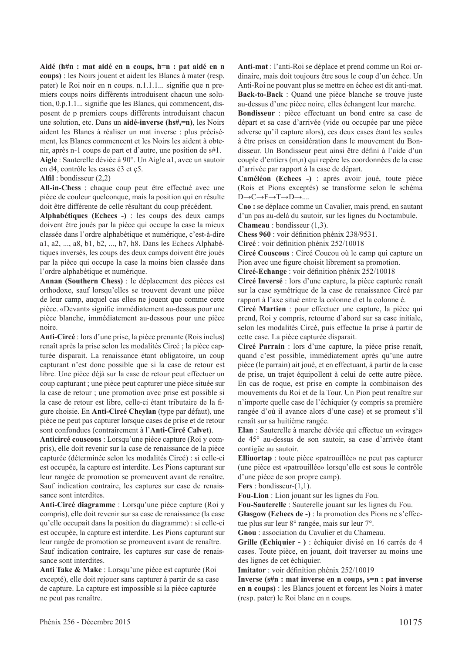**Aidé (h#n : mat aidé en n coups, h=n : pat aidé en n coups)** : les Noirs jouent et aident les Blancs à mater (resp. pater) le Roi noir en n coups. n.1.1.1... signife que n premiers coups noirs différents introduisent chacun une solution, 0.p.1.1... signife que les Blancs, qui commencent, disposent de p premiers coups différents introduisant chacun une solution, etc. Dans un **aidé-inverse (hs#,=n)**, les Noirs aident les Blancs à réaliser un mat inverse : plus précisément, les Blancs commencent et les Noirs les aident à obtenir, après n-1 coups de part et d'autre, une position de s#1. **Aigle** : Sauterelle déviée à 90°. Un Aigle a1, avec un sautoir

en d4, contrôle les cases é3 et ç5.

#### **Alfl** : bondisseur (2,2)

**All-in-Chess** : chaque coup peut être effectué avec une pièce de couleur quelconque, mais la position qui en résulte doit être différente de celle résultant du coup précédent.

**Alphabétiques (Echecs -)** : les coups des deux camps doivent être joués par la pièce qui occupe la case la mieux classée dans l'ordre alphabétique et numérique, c'est-à-dire a1, a2, ..., a8, b1, b2, ..., h7, h8. Dans les Echecs Alphabétiques inversés, les coups des deux camps doivent être joués par la pièce qui occupe la case la moins bien classée dans l'ordre alphabétique et numérique.

**Annan (Southern Chess)** : le déplacement des pièces est orthodoxe, sauf lorsqu'elles se trouvent devant une pièce de leur camp, auquel cas elles ne jouent que comme cette pièce. «Devant» signife immédiatement au-dessus pour une pièce blanche, immédiatement au-dessous pour une pièce noire.

**Anti-Circé** : lors d'une prise, la pièce prenante (Rois inclus) renaît après la prise selon les modalités Circé ; la pièce capturée disparait. La renaissance étant obligatoire, un coup capturant n'est donc possible que si la case de retour est libre. Une pièce déjà sur la case de retour peut effectuer un coup capturant ; une pièce peut capturer une pièce située sur la case de retour ; une promotion avec prise est possible si la case de retour est libre, celle-ci étant tributaire de la figure choisie. En **Anti-Circé Cheylan** (type par défaut), une pièce ne peut pas capturer lorsque cases de prise et de retour sont confondues (contrairement à l'**Anti-Circé Calvet**).

**Anticircé couscous** : Lorsqu'une pièce capture (Roi y compris), elle doit revenir sur la case de renaissance de la pièce capturée (déterminée selon les modalités Circé) : si celle-ci est occupée, la capture est interdite. Les Pions capturant sur leur rangée de promotion se promeuvent avant de renaître. Sauf indication contraire, les captures sur case de renaissance sont interdites.

**Anti-Circé diagramme** : Lorsqu'une pièce capture (Roi y compris), elle doit revenir sur sa case de renaissance (la case qu'elle occupait dans la position du diagramme) : si celle-ci est occupée, la capture est interdite. Les Pions capturant sur leur rangée de promotion se promeuvent avant de renaître. Sauf indication contraire, les captures sur case de renaissance sont interdites.

**Anti Take & Make** : Lorsqu'une pièce est capturée (Roi excepté), elle doit rejouer sans capturer à partir de sa case de capture. La capture est impossible si la pièce capturée ne peut pas renaître.

**Anti-mat** : l'anti-Roi se déplace et prend comme un Roi ordinaire, mais doit toujours être sous le coup d'un échec. Un Anti-Roi ne pouvant plus se mettre en échec est dit anti-mat. **Back-to-Back** : Quand une pièce blanche se trouve juste au-dessus d'une pièce noire, elles échangent leur marche.

**Bondisseur** : pièce effectuant un bond entre sa case de départ et sa case d'arrivée (vide ou occupée par une pièce adverse qu'il capture alors), ces deux cases étant les seules à être prises en considération dans le mouvement du Bondisseur. Un Bondisseur peut ainsi être défni à l'aide d'un couple d'entiers (m,n) qui repère les coordonnées de la case d'arrivée par rapport à la case de départ.

**Caméléon (Echecs -)** : après avoir joué, toute pièce (Rois et Pions exceptés) se transforme selon le schéma D→C→F→T→D→....

**Cao :** se déplace comme un Cavalier, mais prend, en sautant d'un pas au-delà du sautoir, sur les lignes du Noctambule. **Chameau** : bondisseur (1,3).

**Chess 960** : voir défnition phénix 238/9531.

**Circé** : voir défnition phénix 252/10018

**Circé Couscous** : Circé Coucou où le camp qui capture un Pion avec une fgure choisit librement sa promotion.

**Circé-Echange** : voir défnition phénix 252/10018

**Circé Inversé** : lors d'une capture, la pièce capturée renaît sur la case symétrique de la case de renaissance Circé par rapport à l'axe situé entre la colonne d et la colonne é.

**Circé Martien** : pour effectuer une capture, la pièce qui prend, Roi y compris, retourne d'abord sur sa case initiale, selon les modalités Circé, puis effectue la prise à partir de cette case. La pièce capturée disparait.

**Circé Parrain** : lors d'une capture, la pièce prise renaît, quand c'est possible, immédiatement après qu'une autre pièce (le parrain) ait joué, et en effectuant, à partir de la case de prise, un trajet équipollent à celui de cette autre pièce. En cas de roque, est prise en compte la combinaison des mouvements du Roi et de la Tour. Un Pion peut renaître sur n'importe quelle case de l'échiquier (y compris sa première rangée d'où il avance alors d'une case) et se promeut s'il renaît sur sa huitième rangée.

**Elan** : Sauterelle à marche déviée qui effectue un «virage» de 45° au-dessus de son sautoir, sa case d'arrivée étant contigüe au sautoir.

**Elliuortap** : toute pièce «patrouillée» ne peut pas capturer (une pièce est «patrouillée» lorsqu'elle est sous le contrôle d'une pièce de son propre camp).

**Fers** : bondisseur-(1,1).

**Fou-Lion** : Lion jouant sur les lignes du Fou.

**Fou-Sauterelle** : Sauterelle jouant sur les lignes du Fou.

**Glasgow (Echecs de -)** : la promotion des Pions ne s'effectue plus sur leur 8° rangée, mais sur leur 7°.

**Gnou** : association du Cavalier et du Chameau.

**Grille (Echiquier - )** : échiquier divisé en 16 carrés de 4 cases. Toute pièce, en jouant, doit traverser au moins une des lignes de cet échiquier.

**Imitator** : voir défnition phénix 252/10019

**Inverse (s#n : mat inverse en n coups, s=n : pat inverse en n coups)** : les Blancs jouent et forcent les Noirs à mater (resp. pater) le Roi blanc en n coups.